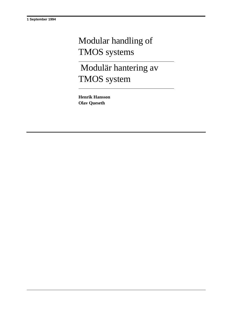## Modular handling of TMOS systems

 Modulär hantering av TMOS system

**Henrik Hansson Olav Queseth**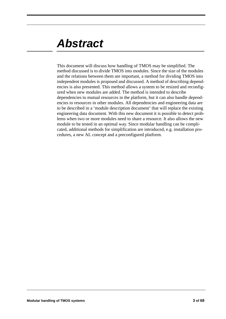## *Abstract*

This document will discuss how handling of TMOS may be simplified. The method discussed is to divide TMOS into modules. Since the size of the modules and the relations between them are important, a method for dividing TMOS into independent modules is proposed and discussed. A method of describing dependencies is also presented. This method allows a system to be resized and reconfigured when new modules are added. The method is intended to describe dependencies to mutual resources in the platform, but it can also handle dependencies to resources in other modules. All dependencies and engineering data are to be described in a 'module description document' that will replace the existing engineering data document. With this new document it is possible to detect problems when two or more modules need to share a resource. It also allows the new module to be tested in an optimal way. Since modular handling can be complicated, additional methods for simplification are introduced, e.g. installation procedures, a new AL concept and a preconfigured platform.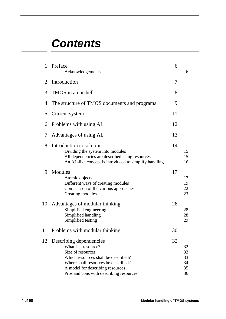## *Contents*

| 1  | Preface<br>Acknowledgements                                                                                                                                                                                                      | 6  | 6                                |
|----|----------------------------------------------------------------------------------------------------------------------------------------------------------------------------------------------------------------------------------|----|----------------------------------|
| 2  | Introduction                                                                                                                                                                                                                     | 7  |                                  |
| 3  | TMOS in a nutshell                                                                                                                                                                                                               | 8  |                                  |
| 4  | The structure of TMOS documents and programs                                                                                                                                                                                     | 9  |                                  |
| 5  | Current system                                                                                                                                                                                                                   | 11 |                                  |
| 6  | Problems with using AL                                                                                                                                                                                                           | 12 |                                  |
| 7  | Advantages of using AL                                                                                                                                                                                                           | 13 |                                  |
| 8  | Introduction to solution<br>Dividing the system into modules<br>All dependencies are described using resources<br>An AL-like concept is introduced to simplify handling                                                          | 14 | 15<br>15<br>16                   |
| 9  | Modules<br>Atomic objects<br>Different ways of creating modules<br>Comparison of the various approaches<br>Creating modules                                                                                                      | 17 | 17<br>19<br>22<br>23             |
| 10 | Advantages of modular thinking<br>Simplified engineering<br>Simplified handling<br>Simplified testing                                                                                                                            | 28 | 28<br>28<br>29                   |
| 11 | Problems with modular thinking                                                                                                                                                                                                   | 30 |                                  |
| 12 | Describing dependencies<br>What is a resource?<br>Size of resources<br>Which resources shall be described?<br>Where shall resources be described?<br>A model for describing resources<br>Pros and cons with describing resources | 32 | 32<br>33<br>33<br>34<br>35<br>36 |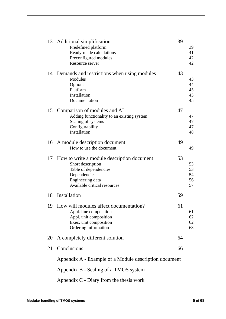|    | 13 Additional simplification<br>Predefined platform<br>Ready-made calculations<br>Preconfigured modules<br>Resource server                                   | 39 | 39<br>41<br>42<br>42       |
|----|--------------------------------------------------------------------------------------------------------------------------------------------------------------|----|----------------------------|
| 14 | Demands and restrictions when using modules<br>Modules<br>Options<br>Platform<br>Installation<br>Documentation                                               | 43 | 43<br>44<br>45<br>45<br>45 |
| 15 | Comparison of modules and AL<br>Adding functionality to an existing system<br>Scaling of systems<br>Configurability<br>Installation                          | 47 | 47<br>47<br>47<br>48       |
|    | 16 A module description document<br>How to use the document                                                                                                  | 49 | 49                         |
| 17 | How to write a module description document<br>Short description<br>Table of dependencies<br>Dependencies<br>Engineering data<br>Available critical resources | 53 | 53<br>53<br>54<br>56<br>57 |
| 18 | Installation                                                                                                                                                 | 59 |                            |
| 19 | How will modules affect documentation?<br>Appl. line composition<br>Appl. unit composition<br>Exec. unit composition<br>Ordering information                 | 61 | 61<br>62<br>62<br>63       |
| 20 | A completely different solution                                                                                                                              | 64 |                            |
| 21 | Conclusions                                                                                                                                                  | 66 |                            |
|    | Appendix A - Example of a Module description document                                                                                                        |    |                            |
|    | Appendix B - Scaling of a TMOS system                                                                                                                        |    |                            |
|    | Appendix $C$ - Diary from the thesis work                                                                                                                    |    |                            |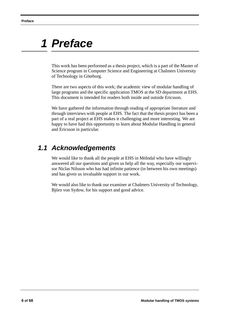## *1 Preface*

This work has been performed as a thesis project, which is a part of the Master of Science program in Computer Science and Engineering at Chalmers University of Technology in Göteborg.

There are two aspects of this work; the academic view of modular handling of large programs and the specific application TMOS at the SD department at EHS. This document is intended for readers both inside and outside Ericsson.

We have gathered the information through reading of appropriate literature and through interviews with people at EHS. The fact that the thesis project has been a part of a real project at EHS makes it challenging and more interesting. We are happy to have had this opportunity to learn about Modular Handling in general and Ericsson in particular.

## *1.1 Acknowledgements*

We would like to thank all the people at EHS in Mölndal who have willingly answered all our questions and given us help all the way, especially our supervisor Niclas Nilsson who has had infinite patience (in between his own meetings) and has given us invaluable support in our work.

We would also like to thank our examiner at Chalmers University of Technology, Björn von Sydow, for his support and good advice.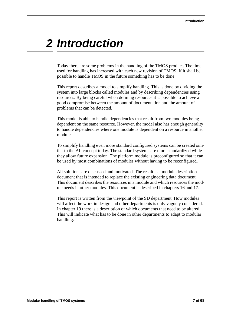## *2 Introduction*

Today there are some problems in the handling of the TMOS product. The time used for handling has increased with each new revision of TMOS. If it shall be possible to handle TMOS in the future something has to be done.

This report describes a model to simplify handling. This is done by dividing the system into large blocks called modules and by describing dependencies using resources. By being careful when defining resources it is possible to achieve a good compromise between the amount of documentation and the amount of problems that can be detected.

This model is able to handle dependencies that result from two modules being dependent on the same resource. However, the model also has enough generality to handle dependencies where one module is dependent on a resource in another module.

To simplify handling even more standard configured systems can be created similar to the AL concept today. The standard systems are more standardized while they allow future expansion. The platform module is preconfigured so that it can be used by most combinations of modules without having to be reconfigured.

All solutions are discussed and motivated. The result is a module description document that is intended to replace the existing engineering data document. This document describes the resources in a module and which resources the module needs in other modules. This document is described in chapters 16 and 17.

This report is written from the viewpoint of the SD department. How modules will affect the work in design and other departments is only vaguely considered. In chapter 19 there is a description of which documents that need to be altered. This will indicate what has to be done in other departments to adapt to modular handling.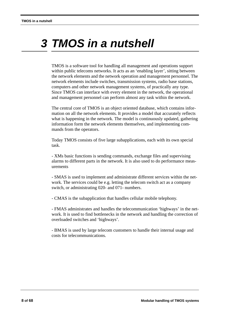# *3 TMOS in a nutshell*

TMOS is a software tool for handling all management and operations support within public telecoms networks. It acts as an 'enabling layer', sitting between the network elements and the network operation and management personnel. The network elements include switches, transmission systems, radio base stations, computers and other network management systems, of practically any type. Since TMOS can interface with every element in the network, the operational and management personnel can perform almost any task within the network.

The central core of TMOS is an object oriented database, which contains information on all the network elements. It provides a model that accurately reflects what is happening in the network. The model is continuously updated, gathering information form the network elements themselves, and implementing commands from the operators.

Today TMOS consists of five large subapplications, each with its own special task.

- XMs basic functions is sending commands, exchange files and supervising alarms to different parts in the network. It is also used to do performance measurements

- SMAS is used to implement and administrate different services within the network. The services could be e.g. letting the telecom switch act as a company switch, or administrating 020- and 071- numbers.

- CMAS is the subapplication that handles cellular mobile telephony.

- FMAS administrates and handles the telecommunication 'highways' in the network. It is used to find bottlenecks in the network and handling the correction of overloaded switches and 'highways'.

- BMAS is used by large telecom customers to handle their internal usage and costs for telecommunications.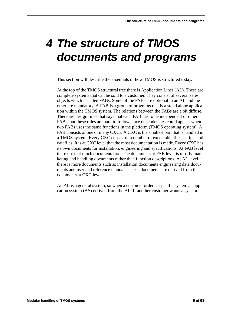# *4 The structure of TMOS documents and programs*

This section will describe the essentials of how TMOS is structured today.

At the top of the TMOS structural tree there is Application Lines (AL). These are complete systems that can be sold to a customer. They consist of several sales objects which is called FABs. Some of the FABs are optional in an AL and the other are mandatory. A FAB is a group of programs that is a stand alone application within the TMOS system. The relations between the FABs are a bit diffuse. There are design rules that says that each FAB has to be independent of other FABs, but these rules are hard to follow since dependencies could appear when two FABs uses the same functions in the platform (TMOS operating system). A FAB consists of one or many CXCs. A CXC is the smallest part that is handled in a TMOS system. Every CXC consist of a number of executable files, scripts and datafiles. It is at CXC level that the most documentation is made. Every CXC has its own documents for installation, engineering and specifications. At FAB level there not that much documentation. The documents at FAB level is mostly marketing and handling documents rather than function descriptions. At AL level there is more documents such as installation documents engineering data documents and user and reference manuals. These documents are derived from the documents at CXC level.

An AL is a general system, so when a customer orders a specific system an application system (AS) derived from the AL. If another customer wants a system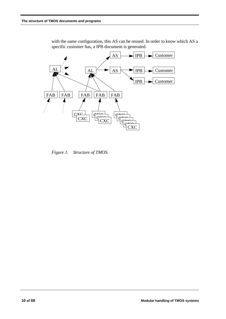

with the same configuration, this AS can be reused. In order to know which AS a specific customer has, a IPB document is generated.

*Figure 1. Structure of TMOS.*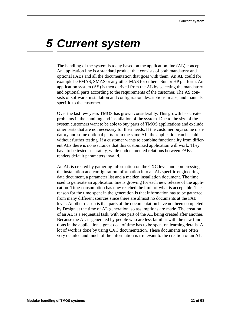## *5 Current system*

The handling of the system is today based on the application line (AL) concept. An application line is a standard product that consists of both mandatory and optional FABs and all the documentation that goes with them. An AL could for example be FMAS, SMAS or any other MAS for either a Sun or HP platform. An application system (AS) is then derived from the AL by selecting the mandatory and optional parts according to the requirements of the customer. The AS consists of software, installation and configuration descriptions, maps, and manuals specific to the customer.

Over the last few years TMOS has grown considerably. This growth has created problems in the handling and installation of the system. Due to the size of the system customers want to be able to buy parts of TMOS applications and exclude other parts that are not necessary for their needs. If the customer buys some mandatory and some optional parts from the same AL, the application can be sold without further testing. If a customer wants to combine functionality from different ALs there is no assurance that this customized application will work. They have to be tested separately, while undocumented relations between FABs renders default parameters invalid.

An AL is created by gathering information on the CXC level and compressing the installation and configuration information into an AL specific engineering data document, a parameter list and a maiden installation document. The time used to generate an application line is growing for each new release of the application. Time-consumption has now reached the limit of what is acceptable. The reason for the time spent in the generation is that information has to be gathered from many different sources since there are almost no documents at the FAB level. Another reason is that parts of the documentation have not been completed by Design at the time of AL generation, so assumptions are made. The creation of an AL is a sequential task, with one part of the AL being created after another. Because the AL is generated by people who are less familiar with the new functions in the application a great deal of time has to be spent on learning details. A lot of work is done by using CXC documentation. These documents are often very detailed and much of the information is irrelevant to the creation of an AL.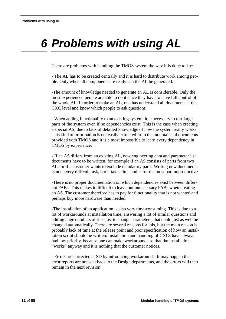# *6 Problems with using AL*

There are problems with handling the TMOS system the way it is done today:

- The AL has to be created centrally and it is hard to distribute work among people. Only when all components are ready can the AL be generated.

-The amount of knowledge needed to generate an AL is considerable. Only the most experienced people are able to do it since they have to have full control of the whole AL. In order to make an AL, one has understand all documents at the CXC level and know which people to ask questions.

- When adding functionality to an existing system, it is necessary to test large parts of the system even if no dependencies exist. This is the case when creating a special AS, due to lack of detailed knowledge of how the system really works. This kind of information is not easily extracted from the mountains of documents provided with TMOS and it is almost impossible to learn every dependency in TMOS by experience.

- If an AS differs from an existing AL, new engineering data and parameter list documents have to be written, for example if an AS consists of parts from two ALs or if a customer wants to exclude mandatory parts. Writing new documents is not a very difficult task, but it takes time and is for the most part unproductive.

-There is no proper documentation on which dependencies exist between different FABs. This makes it difficult to leave out unnecessary FABs when creating an AS. The customer therefore has to pay for functionality that is not wanted and perhaps buy more hardware than needed.

-The installation of an application is also very time-consuming. This is due to a lot of workarounds at installation time, answering a lot of similar questions and editing huge numbers of files just to change parameters, that could just as well be changed automatically. There are several reasons for this, but the main reason is probably lack of time at the release point and poor specification of how an installation script should be written. Installation and handling of CXCs have always had low priority, because one can make workarounds so that the installation "works" anyway and it is nothing that the customer notices.

- Errors are corrected at SD by introducing workarounds. It may happen that error reports are not sent back to the Design departments, and the errors will then remain in the next revision.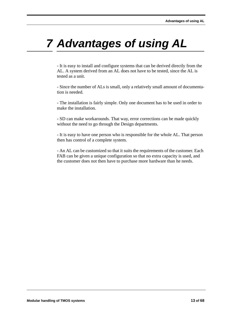# *7 Advantages of using AL*

- It is easy to install and configure systems that can be derived directly from the AL. A system derived from an AL does not have to be tested, since the AL is tested as a unit.

- Since the number of ALs is small, only a relatively small amount of documentation is needed.

- The installation is fairly simple. Only one document has to be used in order to make the installation.

- SD can make workarounds. That way, error corrections can be made quickly without the need to go through the Design departments.

- It is easy to have one person who is responsible for the whole AL. That person then has control of a complete system.

- An AL can be customized so that it suits the requirements of the customer. Each FAB can be given a unique configuration so that no extra capacity is used, and the customer does not then have to purchase more hardware than he needs.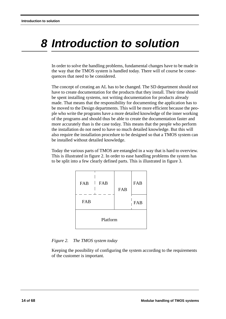# *8 Introduction to solution*

In order to solve the handling problems, fundamental changes have to be made in the way that the TMOS system is handled today. There will of course be consequences that need to be considered.

The concept of creating an AL has to be changed. The SD department should not have to create documentation for the products that they install. Their time should be spent installing systems, not writing documentation for products already made. That means that the responsibility for documenting the application has to be moved to the Design departments. This will be more efficient because the people who write the programs have a more detailed knowledge of the inner working of the programs and should thus be able to create the documentation faster and more accurately than is the case today. This means that the people who perform the installation do not need to have so much detailed knowledge. But this will also require the installation procedure to be designed so that a TMOS system can be installed without detailed knowledge.

Today the various parts of TMOS are entangled in a way that is hard to overview. This is illustrated in figure 2. In order to ease handling problems the system has to be split into a few clearly defined parts. This is illustrated in figure 3.

| FAB<br>$\mathbf{1}$ | FAB<br>FAB |  | FAB |
|---------------------|------------|--|-----|
| FAB                 |            |  | FAB |
| Platform            |            |  |     |

*Figure 2. The TMOS system today*

Keeping the possibility of configuring the system according to the requirements of the customer is important.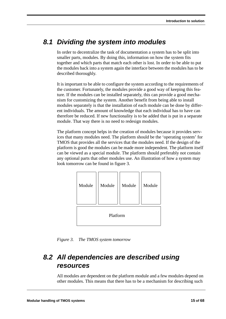## *8.1 Dividing the system into modules*

In order to decentralize the task of documentation a system has to be split into smaller parts, modules. By doing this, information on how the system fits together and which parts that match each other is lost. In order to be able to put the modules back into a system again the interface between the modules has to be described thoroughly.

It is important to be able to configure the system according to the requirements of the customer. Fortunately, the modules provide a good way of keeping this feature. If the modules can be installed separately, this can provide a good mechanism for customizing the system. Another benefit from being able to install modules separately is that the installation of each module can be done by different individuals. The amount of knowledge that each individual has to have can therefore be reduced. If new functionality is to be added that is put in a separate module. That way there is no need to redesign modules.

The platform concept helps in the creation of modules because it provides services that many modules need. The platform should be the 'operating system' for TMOS that provides all the services that the modules need. If the design of the platform is good the modules can be made more independent. The platform itself can be viewed as a special module. The platform should preferably not contain any optional parts that other modules use. An illustration of how a system may look tomorrow can be found in figure 3.

| Module   | Module | Module | Module |  |
|----------|--------|--------|--------|--|
| Platform |        |        |        |  |

*Figure 3. The TMOS system tomorrow*

## *8.2 All dependencies are described using resources*

All modules are dependent on the platform module and a few modules depend on other modules. This means that there has to be a mechanism for describing such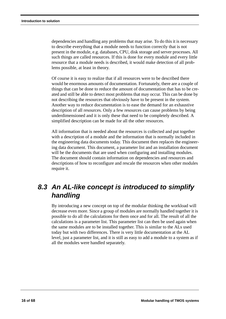dependencies and handling any problems that may arise. To do this it is necessary to describe everything that a module needs to function correctly that is not present in the module, e.g. databases, CPU, disk storage and server processes. All such things are called resources. If this is done for every module and every little resource that a module needs is described, it would make detection of all problems possible, at least in theory.

Of course it is easy to realize that if all resources were to be described there would be enormous amounts of documentation. Fortunately, there are a couple of things that can be done to reduce the amount of documentation that has to be created and still be able to detect most problems that may occur. This can be done by not describing the resources that obviously have to be present in the system. Another way to reduce documentation is to ease the demand for an exhaustive description of all resources. Only a few resources can cause problems by being underdimensioned and it is only these that need to be completely described. A simplified description can be made for all the other resources.

All information that is needed about the resources is collected and put together with a description of a module and the information that is normally included in the engineering data documents today. This document then replaces the engineering data document. This document, a parameter list and an installation document will be the documents that are used when configuring and installing modules. The document should contain information on dependencies and resources and descriptions of how to reconfigure and rescale the resources when other modules require it.

## *8.3 An AL-like concept is introduced to simplify handling*

By introducing a new concept on top of the modular thinking the workload will decrease even more. Since a group of modules are normally handled together it is possible to do all the calculations for them once and for all. The result of all the calculations is a parameter list. This parameter list can then be used again when the same modules are to be installed together. This is similar to the ALs used today but with two differences. There is very little documentation at the AL level, just a parameter list, and it is still as easy to add a module to a system as if all the modules were handled separately.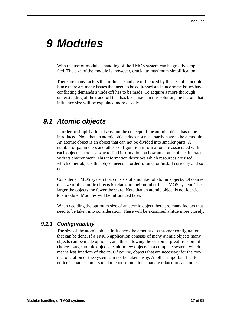## *9 Modules*

With the use of modules, handling of the TMOS system can be greatly simplified. The size of the module is, however, crucial to maximum simplification.

There are many factors that influence and are influenced by the size of a module. Since there are many issues that need to be addressed and since some issues have conflicting demands a trade-off has to be made. To acquire a more thorough understanding of the trade-off that has been made in this solution, the factors that influence size will be explained more closely.

## *9.1 Atomic objects*

In order to simplify this discussion the concept of the atomic object has to be introduced. Note that an atomic object does not necessarily have to be a module. An atomic object is an object that can not be divided into smaller parts. A number of parameters and other configuration information are associated with each object. There is a way to find information on how an atomic object interacts with its environment. This information describes which resources are used, which other objects this object needs in order to function/install correctly and so on.

Consider a TMOS system that consists of a number of atomic objects. Of course the size of the atomic objects is related to their number in a TMOS system. The larger the objects the fewer there are. Note that an atomic object is not identical to a module. Modules will be introduced later.

When deciding the optimum size of an atomic object there are many factors that need to be taken into consideration. These will be examined a little more closely.

### *9.1.1 Configurability*

The size of the atomic object influences the amount of customer configuration that can be done. If a TMOS application consists of many atomic objects many objects can be made optional, and thus allowing the customer great freedom of choice. Large atomic objects result in few objects in a complete system, which means less freedom of choice. Of course, objects that are necessary for the correct operation of the system can not be taken away. Another important fact to notice is that customers tend to choose functions that are related to each other.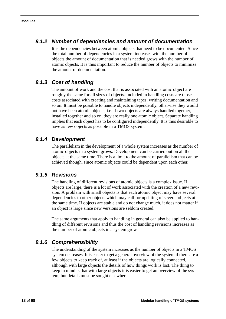#### *9.1.2 Number of dependencies and amount of documentation*

It is the dependencies between atomic objects that need to be documented. Since the total number of dependencies in a system increases with the number of objects the amount of documentation that is needed grows with the number of atomic objects. It is thus important to reduce the number of objects to minimize the amount of documentation.

### *9.1.3 Cost of handling*

The amount of work and the cost that is associated with an atomic object are roughly the same for all sizes of objects. Included in handling costs are those costs associated with creating and maintaining tapes, writing documentation and so on. It must be possible to handle objects independently, otherwise they would not have been atomic objects, i.e. if two objects are always handled together, installed together and so on, they are really one atomic object. Separate handling implies that each object has to be configured independently. It is thus desirable to have as few objects as possible in a TMOS system.

#### *9.1.4 Development*

The parallelism in the development of a whole system increases as the number of atomic objects in a system grows. Development can be carried out on all the objects at the same time. There is a limit to the amount of parallelism that can be achieved though, since atomic objects could be dependent upon each other.

#### *9.1.5 Revisions*

The handling of different revisions of atomic objects is a complex issue. If objects are large, there is a lot of work associated with the creation of a new revision. A problem with small objects is that each atomic object may have several dependencies to other objects which may call for updating of several objects at the same time. If objects are stable and do not change much, it does not matter if an object is large since new versions are seldom created.

The same arguments that apply to handling in general can also be applied to handling of different revisions and thus the cost of handling revisions increases as the number of atomic objects in a system grow.

### *9.1.6 Comprehensibility*

The understanding of the system increases as the number of objects in a TMOS system decreases. It is easier to get a general overview of the system if there are a few objects to keep track of, at least if the objects are logically connected, although with large objects the details of how things work is lost. The thing to keep in mind is that with large objects it is easier to get an overview of the system, but details must be sought elsewhere.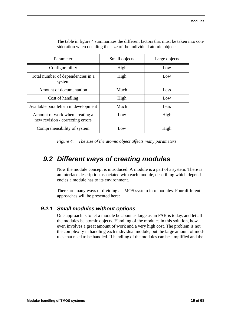| Parameter                                                          | Small objects | Large objects |
|--------------------------------------------------------------------|---------------|---------------|
| Configurability                                                    | High          | Low           |
| Total number of dependencies in a<br>system                        | High          | Low           |
| Amount of documentation                                            | Much          | Less          |
| Cost of handling                                                   | High          | Low           |
| Available parallelism in development                               | Much          | Less          |
| Amount of work when creating a<br>new revision / correcting errors | Low           | High          |
| Comprehensibility of system                                        | Low           | High          |

The table in figure 4 summarizes the different factors that must be taken into consideration when deciding the size of the individual atomic objects.

*Figure 4. The size of the atomic object affects many parameters*

## *9.2 Different ways of creating modules*

Now the module concept is introduced. A module is a part of a system. There is an interface description associated with each module, describing which dependencies a module has to its environment.

There are many ways of dividing a TMOS system into modules. Four different approaches will be presented here:

#### *9.2.1 Small modules without options*

One approach is to let a module be about as large as an FAB is today, and let all the modules be atomic objects. Handling of the modules in this solution, however, involves a great amount of work and a very high cost. The problem is not the complexity in handling each individual module, but the large amount of modules that need to be handled. If handling of the modules can be simplified and the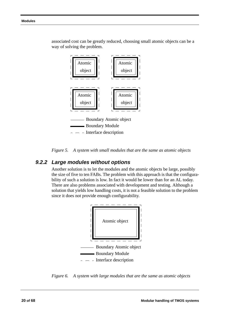

associated cost can be greatly reduced, choosing small atomic objects can be a way of solving the problem.



#### *9.2.2 Large modules without options*

Another solution is to let the modules and the atomic objects be large, possibly the size of five to ten FABs. The problem with this approach is that the configurability of such a solution is low. In fact it would be lower than for an AL today. There are also problems associated with development and testing. Although a solution that yields low handling costs, it is not a feasible solution to the problem since it does not provide enough configurability.



*Figure 6. A system with large modules that are the same as atomic objects*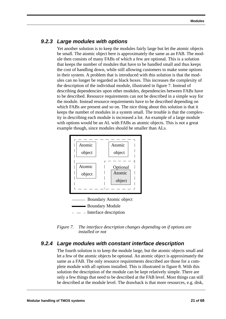#### *9.2.3 Large modules with options*

Yet another solution is to keep the modules fairly large but let the atomic objects be small. The atomic object here is approximately the same as an FAB. The module then consists of many FABs of which a few are optional. This is a solution that keeps the number of modules that have to be handled small and thus keeps the cost of handling down, while still allowing customers to make some options in their system. A problem that is introduced with this solution is that the modules can no longer be regarded as black boxes. This increases the complexity of the description of the individual module, illustrated in figure 7. Instead of describing dependencies upon other modules, dependencies between FABs have to be described. Resource requirements can not be described in a simple way for the module. Instead resource requirements have to be described depending on which FABs are present and so on. The nice thing about this solution is that it keeps the number of modules in a system small. The trouble is that the complexity in describing each module is increased a lot. An example of a large module with options would be an AL with FABs as atomic objects. This is not a great example though, since modules should be smaller than ALs.



*Figure 7. The interface description changes depending on if options are installed or not*

### *9.2.4 Large modules with constant interface description*

The fourth solution is to keep the module large, but the atomic objects small and let a few of the atomic objects be optional. An atomic object is approximately the same as a FAB. The only resource requirements described are those for a complete module with all options installed. This is illustrated in figure 8. With this solution the description of the module can be kept relatively simple. There are only a few things that need to be described at the FAB level. Most things can still be described at the module level. The drawback is that more resources, e.g. disk,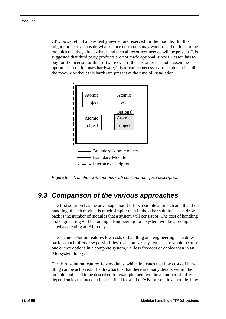CPU power etc. than are really needed are reserved for the module. But this might not be a serious drawback since customers may want to add options to the modules that they already have and then all resources needed will be present. It is suggested that third party products are not made optional, since Ericsson has to pay for the license for this software even if the customer has not chosen the option. If an option uses hardware, it is of course necessary to be able to install the module without this hardware present at the time of installation.



*Figure 8. A module with options with constant interface description*

### *9.3 Comparison of the various approaches*

The first solution has the advantage that it offers a simple approach and that the handling of each module is much simpler than in the other solutions. The drawback is the number of modules that a system will consist of. The cost of handling and engineering will be too high. Engineering for a system will be as complicated as creating an AL today.

The second solution features low costs of handling and engineering. The drawback is that it offers few possibilities to customize a system. There would be only one or two options in a complete system, i.e. less freedom of choice than in an XM system today.

The third solution features few modules, which indicates that low costs of handling can be achieved. The drawback is that there are many details within the module that need to be described for example there will be a number of different dependencies that need to be described for all the FABs present in a module, how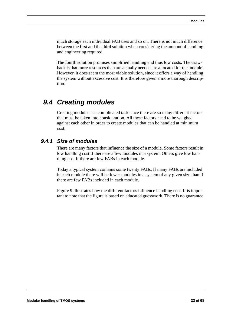much storage each individual FAB uses and so on. There is not much difference between the first and the third solution when considering the amount of handling and engineering required.

The fourth solution promises simplified handling and thus low costs. The drawback is that more resources than are actually needed are allocated for the module. However, it does seem the most viable solution, since it offers a way of handling the system without excessive cost. It is therefore given a more thorough description.

## *9.4 Creating modules*

Creating modules is a complicated task since there are so many different factors that must be taken into consideration. All these factors need to be weighed against each other in order to create modules that can be handled at minimum cost.

#### *9.4.1 Size of modules*

There are many factors that influence the size of a module. Some factors result in low handling cost if there are a few modules in a system. Others give low handling cost if there are few FABs in each module.

Today a typical system contains some twenty FABs. If many FABs are included in each module there will be fewer modules in a system of any given size than if there are few FABs included in each module.

Figure 9 illustrates how the different factors influence handling cost. It is important to note that the figure is based on educated guesswork. There is no guarantee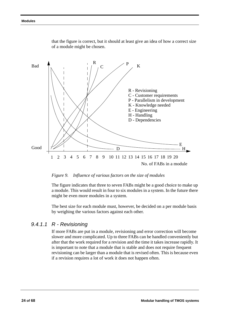

that the figure is correct, but it should at least give an idea of how a correct size of a module might be chosen.

#### *Figure 9. Influence of various factors on the size of modules*

The figure indicates that three to seven FABs might be a good choice to make up a module. This would result in four to six modules in a system. In the future there might be even more modules in a system.

The best size for each module must, however, be decided on a per module basis by weighing the various factors against each other.

#### *9.4.1.1 R - Revisioning*

If more FABs are put in a module, revisioning and error correction will become slower and more complicated. Up to three FABs can be handled conveniently but after that the work required for a revision and the time it takes increase rapidly. It is important to note that a module that is stable and does not require frequent revisioning can be larger than a module that is revised often. This is because even if a revision requires a lot of work it does not happen often.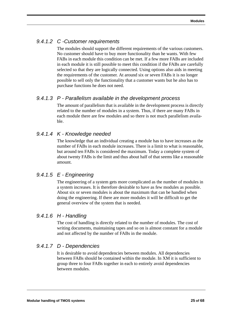### *9.4.1.2 C -Customer requirements*

The modules should support the different requirements of the various customers. No customer should have to buy more functionality than he wants. With few FABs in each module this condition can be met. If a few more FABs are included in each module it is still possible to meet this condition if the FABs are carefully selected so that they are logically connected. Using options also aids in meeting the requirements of the customer. At around six or seven FABs it is no longer possible to sell only the functionality that a customer wants but he also has to purchase functions he does not need.

#### *9.4.1.3 P - Parallelism available in the development process*

The amount of parallelism that is available in the development process is directly related to the number of modules in a system. Thus, if there are many FABs in each module there are few modules and so there is not much parallelism available.

### *9.4.1.4 K - Knowledge needed*

The knowledge that an individual creating a module has to have increases as the number of FABs in each module increases. There is a limit to what is reasonable, but around ten FABs is considered the maximum. Today a complete system of about twenty FABs is the limit and thus about half of that seems like a reasonable amount.

#### *9.4.1.5 E - Engineering*

The engineering of a system gets more complicated as the number of modules in a system increases. It is therefore desirable to have as few modules as possible. About six or seven modules is about the maximum that can be handled when doing the engineering. If there are more modules it will be difficult to get the general overview of the system that is needed.

### *9.4.1.6 H - Handling*

The cost of handling is directly related to the number of modules. The cost of writing documents, maintaining tapes and so on is almost constant for a module and not affected by the number of FABs in the module.

#### *9.4.1.7 D - Dependencies*

It is desirable to avoid dependencies between modules. All dependencies between FABs should be contained within the module. In XM it is sufficient to group three to four FABs together in each to entirely avoid dependencies between modules.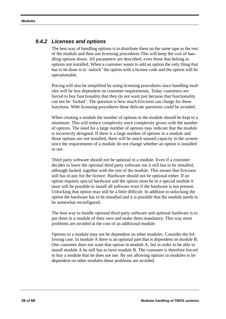#### *9.4.2 Licenses and options*

The best way of handling options is to distribute them on the same tape as the rest of the module and then use licensing procedures.This will keep the cost of handling options down. All parameters are described, even those that belong to options not installed. When a customer wants to add an option the only thing that has to be done is to 'unlock' the option with a license code and the option will be operationable.

Pricing will also be simplified by using licensing procedures since handling modules will be less dependent on customer requirements. Today customers are forced to buy functionality that they do not want just because that functionality can not be 'locked'. The question is how much Ericsson can charge for these functions. With licensing procedures these delicate questions could be avoided.

When creating a module the number of options in the module should be kept to a minimum. This will reduce complexity since complexity grows with the number of options. The need for a large number of options may indicate that the module is incorrectly designed. If there is a large number of options in a module and those options are not installed, there will be much unused capacity in the system since the requirements of a module do not change whether an option is installed or not.

Third party software should not be optional in a module. Even if a customer decides to leave the optional third party software out it still has to be installed, although locked, together with the rest of the module. This means that Ericsson still has to pay for the licence. Hardware should not be optional either. If an option requires special hardware and the option must be in a special module it must still be possible to install all software even if the hardware is not present. Unlocking that option may still be a little difficult. In addition to unlocking the option the hardware has to be installed and it is possible that the module needs to be somewhat reconfigured.

The best way to handle optional third party software and optional hardware is to put them in a module of their own and make them mandatory. This way most problems are avoided at the cost of an additional module.

Options in a module may not be dependent on other modules. Consider the following case. In module A there is an optional part that is dependent on module B. One customer does not want that option in module A, but in order to be able to install module A he still has to have module B. The customer is therefore forced to buy a module that he does not use. By not allowing options in modules to be dependent on other modules these problems are avoided.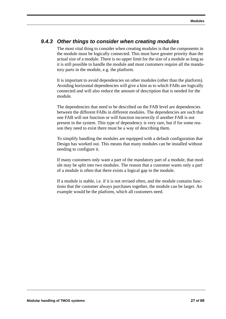#### *9.4.3 Other things to consider when creating modules*

The most vital thing to consider when creating modules is that the components in the module must be logically connected. This must have greater priority than the actual size of a module. There is no upper limit for the size of a module as long as it is still possible to handle the module and most customers require all the mandatory parts in the module, e.g. the platform.

It is important to avoid dependencies on other modules (other than the platform). Avoiding horizontal dependencies will give a hint as to which FABs are logically connected and will also reduce the amount of description that is needed for the module.

The dependencies that need to be described on the FAB level are dependencies between the different FABs in different modules. The dependencies are such that one FAB will not function or will function incorrectly if another FAB is not present in the system. This type of dependency is very rare, but if for some reason they need to exist there must be a way of describing them.

To simplify handling the modules are equipped with a default configuration that Design has worked out. This means that many modules can be installed without needing to configure it.

If many customers only want a part of the mandatory part of a module, that module may be split into two modules. The reason that a customer wants only a part of a module is often that there exists a logical gap in the module.

If a module is stable, i.e. if it is not revised often, and the module contains functions that the customer always purchases together, the module can be larger. An example would be the platform, which all customers need.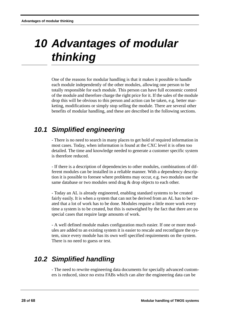# *10 Advantages of modular thinking*

One of the reasons for modular handling is that it makes it possible to handle each module independently of the other modules, allowing one person to be totally responsible for each module. This person can have full economic control of the module and therefore charge the right price for it. If the sales of the module drop this will be obvious to this person and action can be taken, e.g. better marketing, modifications or simply stop selling the module. There are several other benefits of modular handling, and these are described in the following sections.

## *10.1 Simplified engineering*

- There is no need to search in many places to get hold of required information in most cases. Today, when information is found at the CXC level it is often too detailed. The time and knowledge needed to generate a customer specific system is therefore reduced.

- If there is a description of dependencies to other modules, combinations of different modules can be installed in a reliable manner. With a dependency description it is possible to foresee where problems may occur, e.g. two modules use the same database or two modules send drag & drop objects to each other.

- Today an AL is already engineered, enabling standard systems to be created fairly easily. It is when a system that can not be derived from an AL has to be created that a lot of work has to be done. Modules require a little more work every time a system is to be created, but this is outweighed by the fact that there are no special cases that require large amounts of work.

- A well defined module makes configuration much easier. If one or more modules are added to an existing system it is easier to rescale and reconfigure the system, since every module has its own well specified requirements on the system. There is no need to guess or test.

## *10.2 Simplified handling*

- The need to rewrite engineering data documents for specially advanced customers is reduced, since no extra FABs which can alter the engineering data can be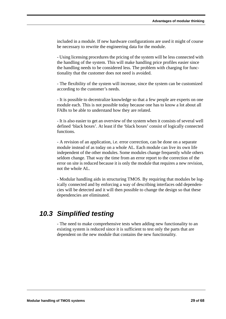included in a module. If new hardware configurations are used it might of course be necessary to rewrite the engineering data for the module.

- Using licensing procedures the pricing of the system will be less connected with the handling of the system. This will make handling price profiles easier since the handling needs to be considered less. The problem with charging for functionality that the customer does not need is avoided.

- The flexibility of the system will increase, since the system can be customized according to the customer's needs.

- It is possible to decentralize knowledge so that a few people are experts on one module each. This is not possible today because one has to know a lot about all FABs to be able to understand how they are related.

- It is also easier to get an overview of the system when it consists of several well defined 'black boxes'. At least if the 'black boxes' consist of logically connected functions.

- A revision of an application, i.e. error correction, can be done on a separate module instead of as today on a whole AL. Each module can live its own life independent of the other modules. Some modules change frequently while others seldom change. That way the time from an error report to the correction of the error on site is reduced because it is only the module that requires a new revision, not the whole AL.

- Modular handling aids in structuring TMOS. By requiring that modules be logically connected and by enforcing a way of describing interfaces odd dependencies will be detected and it will then possible to change the design so that these dependencies are eliminated.

## *10.3 Simplified testing*

- The need to make comprehensive tests when adding new functionality to an existing system is reduced since it is sufficient to test only the parts that are dependent on the new module that contains the new functionality.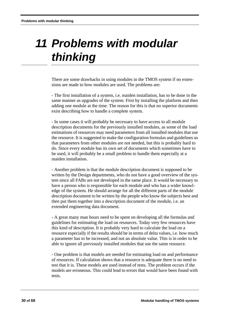## *11 Problems with modular thinking*

There are some drawbacks in using modules in the TMOS system if no extensions are made to how modules are used. The problems are:

- The first installation of a system, i.e. maiden installation, has to be done in the same manner as upgrades of the system. First by installing the platform and then adding one module at the time. The reason for this is that no superior documents exist describing how to handle a complete system.

- In some cases it will probably be necessary to have access to all module description documents for the previously installed modules, as some of the load estimations of resources may need parameters from all installed modules that use the resource. It is suggested to make the configuration formulas and guidelines so that parameters from other modules are not needed, but this is probably hard to do. Since every module has its own set of documents which sometimes have to be used, it will probably be a small problem to handle them especially at a maiden installation.

- Another problem is that the module description document is supposed to be written by the Design departments, who do not have a good overview of the system since all FABs are not developed in the same place. It would be necessary to have a person who is responsible for each module and who has a wider knowledge of the system. He should arrange for all the different parts of the module description document to be written by the people who know the subjects best and then put them together into a description document of the module, i.e. an extended engineering data document.

- A great many man hours need to be spent on developing all the formulas and guidelines for estimating the load on resources. Today very few resources have this kind of description. It is probably very hard to calculate the load on a resource especially if the results should be in terms of delta values, i.e. how much a parameter has to be increased, and not an absolute value. This is in order to be able to ignore all previously installed modules that use the same resource.

- One problem is that models are needed for estimating load on and performance of resources. If calculation shows that a resource is adequate there is no need to test that it is. These models are used instead of tests. The problem occurs if the models are erroneous. This could lead to errors that would have been found with tests.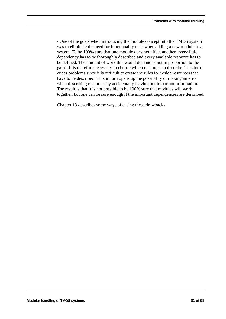- One of the goals when introducing the module concept into the TMOS system was to eliminate the need for functionality tests when adding a new module to a system. To be 100% sure that one module does not affect another, every little dependency has to be thoroughly described and every available resource has to be defined. The amount of work this would demand is not in proportion to the gains. It is therefore necessary to choose which resources to describe. This introduces problems since it is difficult to create the rules for which resources that have to be described. This in turn opens up the possibility of making an error when describing resources by accidentally leaving out important information. The result is that it is not possible to be 100% sure that modules will work together, but one can be sure enough if the important dependencies are described.

Chapter 13 describes some ways of easing these drawbacks.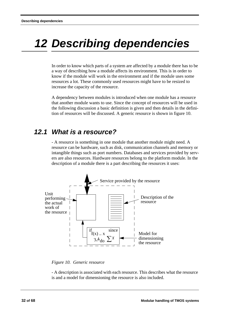# *12 Describing dependencies*

In order to know which parts of a system are affected by a module there has to be a way of describing how a module affects its environment. This is in order to know if the module will work in the environment and if the module uses some resources a lot. These commonly used resources might have to be resized to increase the capacity of the resource.

A dependency between modules is introduced when one module has a resource that another module wants to use. Since the concept of resources will be used in the following discussion a basic definition is given and then details in the definition of resources will be discussed. A generic resource is shown in figure 10.

## *12.1 What is a resource?*

- A resource is something in one module that another module might need. A resource can be hardware, such as disk, communication channels and memory or intangible things such as port numbers. Databases and services provided by servers are also resources. Hardware resources belong to the platform module. In the description of a module there is a part describing the resources it uses:





- A description is associated with each resource. This describes what the resource is and a model for dimensioning the resource is also included.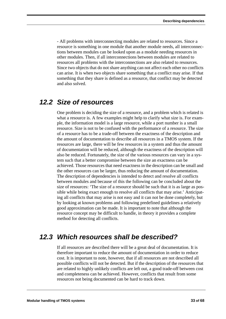- All problems with interconnecting modules are related to resources. Since a resource is something in one module that another module needs, all interconnections between modules can be looked upon as a module needing resources in other modules. Then, if all interconnections between modules are related to resources all problems with the interconnections are also related to resources. Since two objects that do not share anything can not affect each other no conflicts can arise. It is when two objects share something that a conflict may arise. If that something that they share is defined as a resource, that conflict may be detected and also solved.

### *12.2 Size of resources*

One problem is deciding the size of a resource, and a problem which is related is what a resource is. A few examples might help to clarify what size is. For example, the information model is a large resource, while a port number is a small resource. Size is not to be confused with the performance of a resource. The size of a resource has to be a trade-off between the exactness of the description and the amount of documentation to describe all resources in a TMOS system. If the resources are large, there will be few resources in a system and thus the amount of documentation will be reduced, although the exactness of the description will also be reduced. Fortunately, the size of the various resources can vary in a system such that a better compromise between the size an exactness can be achieved. Those resources that need exactness in the description can be small and the other resources can be larger, thus reducing the amount of documentation. The description of dependencies is intended to detect and resolve all conflicts between modules and because of this the following can be concluded about the size of resources: 'The size of a resource should be such that it is as large as possible while being exact enough to resolve all conflicts that may arise.' Anticipating all conflicts that may arise is not easy and it can not be done completely, but by looking at known problems and following predefined guidelines a relatively good approximation can be made. It is important to note that although the resource concept may be difficult to handle, in theory it provides a complete method for detecting all conflicts.

## *12.3 Which resources shall be described?*

If all resources are described there will be a great deal of documentation. It is therefore important to reduce the amount of documentation in order to reduce cost. It is important to note, however, that if all resources are not described all possible conflicts will not be detected. But if the description of the resources that are related to highly unlikely conflicts are left out, a good trade-off between cost and completeness can be achieved. However, conflicts that result from some resources not being documented can be hard to track down.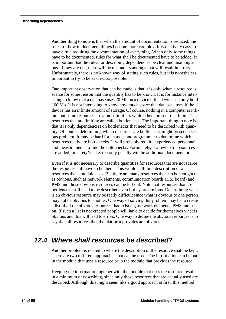Another thing to note is that when the amount of documentation is reduced, the rules for how to document things become more complex. It is relatively easy to have a rule requiring the documentation of everything. When only some things have to be documented, rules for what shall be documented have to be added. It is important that the rules for describing dependencies be clear and unambiguous. If they are not, there will be misunderstandings that will result in errors. Unfortunately, there is no known way of stating such rules, but it is nonetheless important to try to be as clear as possible.

One important observation that can be made is that it is only when a resource is scarce for some reason that the quantity has to be known. It is for instance interesting to know that a database uses 20 Mb on a device if the device can only hold 100 Mb. It is not interesting to know how much space that database uses if the device has an infinite amount of storage. Of course, nothing in a computer is infinite but some resources are almost limitless while others present real limits. The resources that are limiting are called bottlenecks. The important thing to note is that it is only dependencies on bottlenecks that need to be described with quantity. Of course, determining which resources are bottlenecks might present a serious problem. It may be hard for an assistant programmer to determine which resources really are bottlenecks. It will probably require experienced personnel and measurements to find the bottlenecks. Fortunately, if a few extra resources are added for safety's sake, the only penalty will be additional documentation.

Even if it is not necessary to describe quantities for resources that are not scarce the resources still have to be there. This would call for a description of all resources that a module uses. But there are many resources that can be thought of as obvious, such as network elements, communication boards (HSI board) and PMS and those obvious resources can be left out. Note that resources that are bottlenecks still need to be described even if they are obvious. Determining what is an obvious resource may be really difficult since what is obvious to one person may not be obvious to another. One way of solving this problem may be to create a list of all the obvious resources that exist e.g. network elements, PMS and so on. If such a list is not created people will have to decide for themselves what is obvious and this will lead to errors. One way to define the obvious resources is to say that all resources that the platform provides are obvious.

## *12.4 Where shall resources be described?*

Another problem is related to where the description of the resource shall be kept. There are two different approaches that can be used. The information can be put in the module that uses a resource or in the module that provides the resource.

Keeping the information together with the module that uses the resource results in a minimum of describing, since only those resources that are actually used are described. Although this might seem like a good approach at first, this method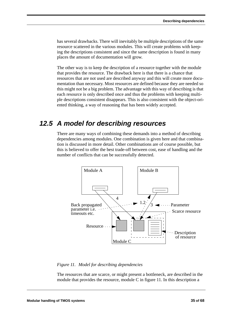has several drawbacks. There will inevitably be multiple descriptions of the same resource scattered in the various modules. This will create problems with keeping the descriptions consistent and since the same description is found in many places the amount of documentation will grow.

The other way is to keep the description of a resource together with the module that provides the resource. The drawback here is that there is a chance that resources that are not used are described anyway and this will create more documentation than necessary. Most resources are defined because they are needed so this might not be a big problem. The advantage with this way of describing is that each resource is only described once and thus the problems with keeping multiple descriptions consistent disappears. This is also consistent with the object-oriented thinking, a way of reasoning that has been widely accepted.

## *12.5 A model for describing resources*

There are many ways of combining these demands into a method of describing dependencies among modules. One combination is given here and that combination is discussed in more detail. Other combinations are of course possible, but this is believed to offer the best trade-off between cost, ease of handling and the number of conflicts that can be successfully detected.



#### *Figure 11. Model for describing dependencies*

The resources that are scarce, or might present a bottleneck, are described in the module that provides the resource, module C in figure 11. In this description a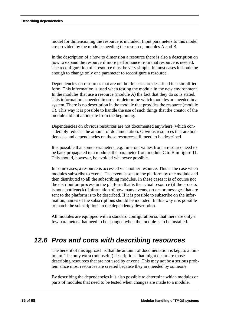model for dimensioning the resource is included. Input parameters to this model are provided by the modules needing the resource, modules A and B.

In the description of a how to dimension a resource there is also a description on how to expand the resource if more performance from that resource is needed. The reconfiguration of a resource must be very simple. In most cases it should be enough to change only one parameter to reconfigure a resource.

Dependencies on resources that are not bottlenecks are described in a simplified form. This information is used when testing the module in the new environment. In the modules that use a resource (module A) the fact that they do so is stated. This information is needed in order to determine which modules are needed in a system. There is no description in the module that provides the resource (module C). This way it is possible to handle the use of such things that the creator of the module did not anticipate from the beginning.

Dependencies on obvious resources are not documented anywhere, which considerably reduces the amount of documentation. Obvious resources that are bottlenecks and dependencies on those resources still need to be described.

It is possible that some parameters, e.g. time-out values from a resource need to be back propagated to a module, the parameter from module C to B in figure 11. This should, however, be avoided whenever possible.

In some cases, a resource is accessed via another resource. This is the case when modules subscribe to events. The event is sent to the platform by one module and then distributed to all the subscribing modules. In these cases it is of course not the distribution-process in the platform that is the actual resource (if the process is not a bottleneck). Information of how many events, orders or messages that are sent to the platform is to be described. If it is possible to subscribe on the information, names of the subscriptions should be included. In this way it is possible to match the subscriptions in the dependency description.

All modules are equipped with a standard configuration so that there are only a few parameters that need to be changed when the module is to be installed.

## *12.6 Pros and cons with describing resources*

The benefit of this approach is that the amount of documentation is kept to a minimum. The only extra (not useful) descriptions that might occur are those describing resources that are not used by anyone. This may not be a serious problem since most resources are created because they are needed by someone.

By describing the dependencies it is also possible to determine which modules or parts of modules that need to be tested when changes are made to a module.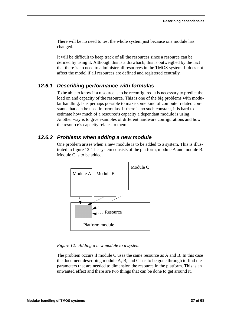There will be no need to test the whole system just because one module has changed.

It will be difficult to keep track of all the resources since a resource can be defined by using it. Although this is a drawback, this is outweighed by the fact that there is no need to administer all resources in the TMOS system. It does not affect the model if all resources are defined and registered centrally.

#### *12.6.1 Describing performance with formulas*

To be able to know if a resource is to be reconfigured it is necessary to predict the load on and capacity of the resource. This is one of the big problems with modular handling. Is is perhaps possible to make some kind of computer related constants that can be used in formulas. If there is no such constant, it is hard to estimate how much of a resource's capacity a dependant module is using. Another way is to give examples of different hardware configurations and how the resource's capacity relates to them.

#### *12.6.2 Problems when adding a new module*

One problem arises when a new module is to be added to a system. This is illustrated in figure 12. The system consists of the platform, module A and module B. Module C is to be added.



#### *Figure 12. Adding a new module to a system*

The problem occurs if module C uses the same resource as A and B. In this case the document describing module A, B, and C has to be gone through to find the parameters that are needed to dimension the resource in the platform. This is an unwanted effect and there are two things that can be done to get around it.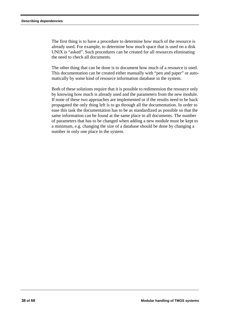The first thing is to have a procedure to determine how much of the resource is already used. For example, to determine how much space that is used on a disk UNIX is "asked". Such procedures can be created for all resources eliminating the need to check all documents.

The other thing that can be done is to document how much of a resource is used. This documentation can be created either manually with "pen and paper" or automatically by some kind of resource information database in the system.

Both of these solutions require that it is possible to redimension the resource only by knowing how much is already used and the parameters from the new module. If none of these two approaches are implemented or if the results need to be back propagated the only thing left is to go through all the documentation. In order to ease this task the documentation has to be as standardized as possible so that the same information can be found at the same place in all documents. The number of parameters that has to be changed when adding a new module must be kept to a minimum, e.g. changing the size of a database should be done by changing a number in only one place in the system.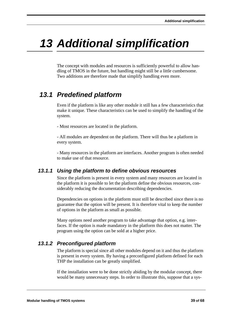# *13 Additional simplification*

The concept with modules and resources is sufficiently powerful to allow handling of TMOS in the future, but handling might still be a little cumbersome. Two additions are therefore made that simplify handling even more.

# *13.1 Predefined platform*

Even if the platform is like any other module it still has a few characteristics that make it unique. These characteristics can be used to simplify the handling of the system.

- Most resources are located in the platform.

- All modules are dependent on the platform. There will thus be a platform in every system.

- Many resources in the platform are interfaces. Another program is often needed to make use of that resource.

#### *13.1.1 Using the platform to define obvious resources*

Since the platform is present in every system and many resources are located in the platform it is possible to let the platform define the obvious resources, considerably reducing the documentation describing dependencies.

Dependencies on options in the platform must still be described since there is no guarantee that the option will be present. It is therefore vital to keep the number of options in the platform as small as possible.

Many options need another program to take advantage that option, e.g. interfaces. If the option is made mandatory in the platform this does not matter. The program using the option can be sold at a higher price.

### *13.1.2 Preconfigured platform*

The platform is special since all other modules depend on it and thus the platform is present in every system. By having a preconfigured platform defined for each THP the installation can be greatly simplified.

If the installation were to be done strictly abiding by the modular concept, there would be many unnecessary steps. In order to illustrate this, suppose that a sys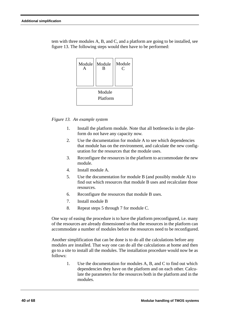tem with three modules A, B, and C, and a platform are going to be installed, see figure 13. The following steps would then have to be performed:



*Figure 13. An example system*

- 1. Install the platform module. Note that all bottlenecks in the platform do not have any capacity now.
- 2. Use the documentation for module A to see which dependencies that module has on the environment, and calculate the new configuration for the resources that the module uses.
- 3. Reconfigure the resources in the platform to accommodate the new module.
- 4. Install module A.
- 5. Use the documentation for module B (and possibly module A) to find out which resources that module B uses and recalculate those resources.
- 6. Reconfigure the resources that module B uses.
- 7. Install module B
- 8. Repeat steps 5 through 7 for module C.

One way of easing the procedure is to have the platform preconfigured, i.e. many of the resources are already dimensioned so that the resources in the platform can accommodate a number of modules before the resources need to be reconfigured.

Another simplification that can be done is to do all the calculations before any modules are installed. That way one can do all the calculations at home and then go to a site to install all the modules. The installation procedure would now be as follows:

> 1. Use the documentation for modules A, B, and C to find out which dependencies they have on the platform and on each other. Calculate the parameters for the resources both in the platform and in the modules.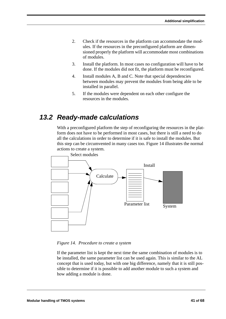- 2. Check if the resources in the platform can accommodate the modules. If the resources in the preconfigured platform are dimensioned properly the platform will accommodate most combinations of modules.
- 3. Install the platform. In most cases no configuration will have to be done. If the modules did not fit, the platform must be reconfigured.
- 4. Install modules A, B and C. Note that special dependencies between modules may prevent the modules from being able to be installed in parallel.
- 5. If the modules were dependent on each other configure the resources in the modules.

## *13.2 Ready-made calculations*

With a preconfigured platform the step of reconfiguring the resources in the platform does not have to be performed in most cases, but there is still a need to do all the calculations in order to determine if it is safe to install the modules. But this step can be circumvented in many cases too. Figure 14 illustrates the normal actions to create a system.



*Figure 14. Procedure to create a system*

If the parameter list is kept the next time the same combination of modules is to be installed, the same parameter list can be used again. This is similar to the AL concept that is used today, but with one big difference, namely that it is still possible to determine if it is possible to add another module to such a system and how adding a module is done.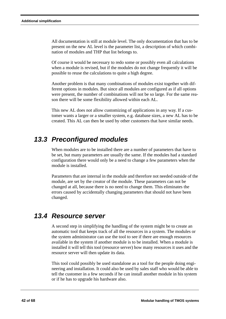All documentation is still at module level. The only documentation that has to be present on the new AL level is the parameter list, a description of which combination of modules and THP that list belongs to.

Of course it would be necessary to redo some or possibly even all calculations when a module is revised, but if the modules do not change frequently it will be possible to reuse the calculations to quite a high degree.

Another problem is that many combinations of modules exist together with different options in modules. But since all modules are configured as if all options were present, the number of combinations will not be so large. For the same reason there will be some flexibility allowed within each AL.

This new AL does not allow customizing of applications in any way. If a customer wants a larger or a smaller system, e.g. database sizes, a new AL has to be created. This AL can then be used by other customers that have similar needs.

# *13.3 Preconfigured modules*

When modules are to be installed there are a number of parameters that have to be set, but many parameters are usually the same. If the modules had a standard configuration there would only be a need to change a few parameters when the module is installed.

Parameters that are internal in the module and therefore not needed outside of the module, are set by the creator of the module. These parameters can not be changed at all, because there is no need to change them. This eliminates the errors caused by accidentally changing parameters that should not have been changed.

### *13.4 Resource server*

A second step in simplifying the handling of the system might be to create an automatic tool that keeps track of all the resources in a system. The modules or the system administrator can use the tool to see if there are enough resources available in the system if another module is to be installed. When a module is installed it will tell this tool (resource server) how many resources it uses and the resource server will then update its data.

This tool could possibly be used standalone as a tool for the people doing engineering and installation. It could also be used by sales staff who would be able to tell the customer in a few seconds if he can install another module in his system or if he has to upgrade his hardware also.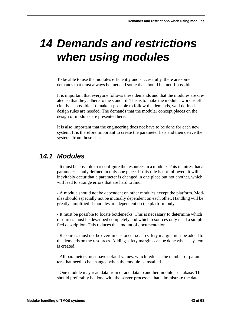# *14 Demands and restrictions when using modules*

To be able to use the modules efficiently and successfully, there are some demands that must always be met and some that should be met if possible.

It is important that everyone follows these demands and that the modules are created so that they adhere to the standard. This is to make the modules work as efficiently as possible. To make it possible to follow the demands, well defined design rules are needed. The demands that the modular concept places on the design of modules are presented here.

It is also important that the engineering does not have to be done for each new system. It is therefore important to create the parameter lists and then derive the systems from those lists.

## *14.1 Modules*

- It must be possible to reconfigure the resources in a module. This requires that a parameter is only defined in only one place. If this rule is not followed, it will inevitably occur that a parameter is changed in one place but not another, which will lead to strange errors that are hard to find.

- A module should not be dependent on other modules except the platform. Modules should especially not be mutually dependent on each other. Handling will be greatly simplified if modules are dependent on the platform only.

- It must be possible to locate bottlenecks. This is necessary to determine which resources must be described completely and which resources only need a simplified description. This reduces the amount of documentation.

- Resources must not be overdimensioned, i.e. no safety margin must be added to the demands on the resources. Adding safety margins can be done when a system is created.

- All parameters must have default values, which reduces the number of parameters that need to be changed when the module is installed.

- One module may read data from or add data to another module's database. This should preferably be done with the server-processes that administrate the data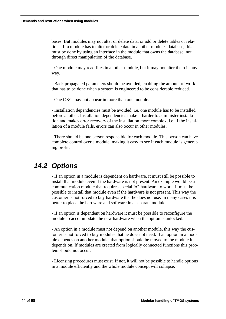bases. But modules may not alter or delete data, or add or delete tables or relations. If a module has to alter or delete data in another modules database, this must be done by using an interface in the module that owns the database, not through direct manipulation of the database.

- One module may read files in another module, but it may not alter them in any way.

- Back propagated parameters should be avoided, enabling the amount of work that has to be done when a system is engineered to be considerable reduced.

- One CXC may not appear in more than one module.

- Installation dependencies must be avoided, i.e. one module has to be installed before another. Installation dependencies make it harder to administer installation and makes error recovery of the installation more complex, i.e. if the installation of a module fails, errors can also occur in other modules.

- There should be one person responsible for each module. This person can have complete control over a module, making it easy to see if each module is generating profit.

## *14.2 Options*

- If an option in a module is dependent on hardware, it must still be possible to install that module even if the hardware is not present. An example would be a communication module that requires special I/O hardware to work. It must be possible to install that module even if the hardware is not present. This way the customer is not forced to buy hardware that he does not use. In many cases it is better to place the hardware and software in a separate module.

- If an option is dependent on hardware it must be possible to reconfigure the module to accommodate the new hardware when the option is unlocked.

- An option in a module must not depend on another module, this way the customer is not forced to buy modules that he does not need. If an option in a module depends on another module, that option should be moved to the module it depends on. If modules are created from logically connected functions this problem should not occur.

- Licensing procedures must exist. If not, it will not be possible to handle options in a module efficiently and the whole module concept will collapse.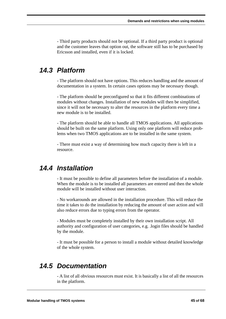- Third party products should not be optional. If a third party product is optional and the customer leaves that option out, the software still has to be purchased by Ericsson and installed, even if it is locked.

## *14.3 Platform*

- The platform should not have options. This reduces handling and the amount of documentation in a system. In certain cases options may be necessary though.

- The platform should be preconfigured so that it fits different combinations of modules without changes. Installation of new modules will then be simplified, since it will not be necessary to alter the resources in the platform every time a new module is to be installed.

- The platform should be able to handle all TMOS applications. All applications should be built on the same platform. Using only one platform will reduce problems when two TMOS applications are to be installed in the same system.

- There must exist a way of determining how much capacity there is left in a resource.

### *14.4 Installation*

- It must be possible to define all parameters before the installation of a module. When the module is to be installed all parameters are entered and then the whole module will be installed without user interaction.

- No workarounds are allowed in the installation procedure. This will reduce the time it takes to do the installation by reducing the amount of user action and will also reduce errors due to typing errors from the operator.

- Modules must be completely installed by their own installation script. All authority and configuration of user categories, e.g. .login files should be handled by the module.

- It must be possible for a person to install a module without detailed knowledge of the whole system.

## *14.5 Documentation*

- A list of all obvious resources must exist. It is basically a list of all the resources in the platform.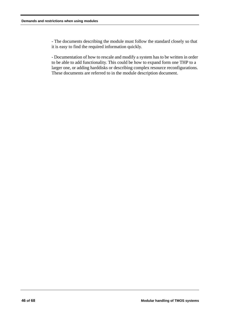- The documents describing the module must follow the standard closely so that it is easy to find the required information quickly.

- Documentation of how to rescale and modify a system has to be written in order to be able to add functionality. This could be how to expand form one THP to a larger one, or adding harddisks or describing complex resource reconfigurations. These documents are referred to in the module description document.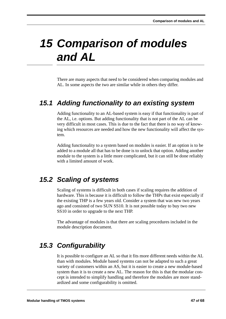# *15 Comparison of modules and AL*

There are many aspects that need to be considered when comparing modules and AL. In some aspects the two are similar while in others they differ.

## *15.1 Adding functionality to an existing system*

Adding functionality to an AL-based system is easy if that functionality is part of the AL, i.e. options. But adding functionality that is not part of the AL can be very difficult in most cases. This is due to the fact that there is no way of knowing which resources are needed and how the new functionality will affect the system.

Adding functionality to a system based on modules is easier. If an option is to be added to a module all that has to be done is to unlock that option. Adding another module to the system is a little more complicated, but it can still be done reliably with a limited amount of work.

# *15.2 Scaling of systems*

Scaling of systems is difficult in both cases if scaling requires the addition of hardware. This is because it is difficult to follow the THPs that exist especially if the existing THP is a few years old. Consider a system that was new two years ago and consisted of two SUN SS10. It is not possible today to buy two new SS10 in order to upgrade to the next THP.

The advantage of modules is that there are scaling procedures included in the module description document.

# *15.3 Configurability*

It is possible to configure an AL so that it fits more different needs within the AL than with modules. Module based systems can not be adapted to such a great variety of customers within an AS, but it is easier to create a new module-based system than it is to create a new AL. The reason for this is that the modular concept is intended to simplify handling and therefore the modules are more standardized and some configurability is omitted.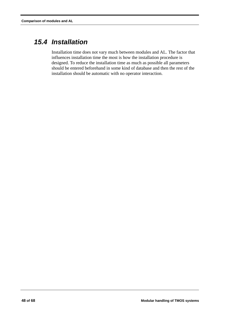# *15.4 Installation*

Installation time does not vary much between modules and AL. The factor that influences installation time the most is how the installation procedure is designed. To reduce the installation time as much as possible all parameters should be entered beforehand in some kind of database and then the rest of the installation should be automatic with no operator interaction.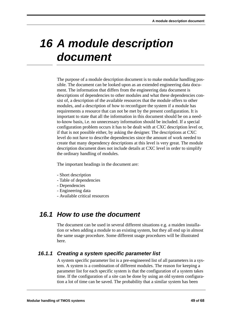# *16 A module description document*

The purpose of a module description document is to make modular handling possible. The document can be looked upon as an extended engineering data document. The information that differs from the engineering data document is descriptions of dependencies to other modules and what these dependencies consist of, a description of the available resources that the module offers to other modules, and a description of how to reconfigure the system if a module has requirements a resource that can not be met by the present configuration. It is important to state that all the information in this document should be on a needto-know basis, i.e. no unnecessary information should be included. If a special configuration problem occurs it has to be dealt with at CXC description level or, if that is not possible either, by asking the designer. The descriptions at CXC level do not have to describe dependencies since the amount of work needed to create that many dependency descriptions at this level is very great. The module description document does not include details at CXC level in order to simplify the ordinary handling of modules.

The important headings in the document are:

- Short description
- Table of dependencies
- Dependencies
- Engineering data
- Available critical resources

## *16.1 How to use the document*

The document can be used in several different situations e.g. a maiden installation or when adding a module to an existing system, but they all end up in almost the same usage procedure. Some different usage procedures will be illustrated here.

#### *16.1.1 Creating a system specific parameter list*

A system specific parameter list is a pre-engineered list of all parameters in a system. A system is a combination of different modules. The reason for keeping a parameter list for each specific system is that the configuration of a system takes time. If the configuration of a site can be done by using an old system configuration a lot of time can be saved. The probability that a similar system has been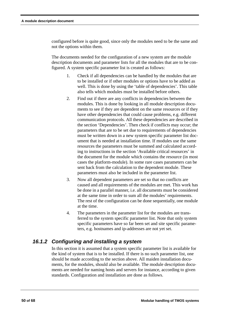configured before is quite good, since only the modules need to be the same and not the options within them.

The documents needed for the configuration of a new system are the module description documents and parameter lists for all the modules that are to be configured. A system specific parameter list is created as follows:

- 1. Check if all dependencies can be handled by the modules that are to be installed or if other modules or options have to be added as well. This is done by using the 'table of dependencies'. This table also tells which modules must be installed before others.
- 2. Find out if there are any conflicts in dependencies between the modules. This is done by looking in all module description documents to see if they are dependent on the same resources or if they have other dependencies that could cause problems, e.g. different communication protocols. All these dependencies are described in the section 'Dependencies'. Then check if conflicts may occur; the parameters that are to be set due to requirements of dependencies must be written down in a new system specific parameter list document that is needed at installation time. If modules use the same resources the parameters must be summed and calculated according to instructions in the section 'Available critical resources' in the document for the module which contains the resource (in most cases the platform-module). In some rare cases parameters can be sent back from the calculation to the dependent module. These parameters must also be included in the parameter list.
- 3. Now all dependent parameters are set so that no conflicts are caused and all requirements of the modules are met. This work has be done in a parallel manner, i.e. all documents must be considered at the same time in order to sum all the modules' requirements. The rest of the configuration can be done sequentially, one module at the time.
- 4. The parameters in the parameter list for the modules are transferred to the system specific parameter list. Note that only system specific parameters have so far been set and site specific parameters, e.g. hostnames and ip-addresses are not yet set.

### *16.1.2 Configuring and installing a system*

In this section it is assumed that a system specific parameter list is available for the kind of system that is to be installed. If there is no such parameter list, one should be made according to the section above. All maiden installation documents, for the modules, should also be available. The module description documents are needed for naming hosts and servers for instance, according to given standards. Configuration and installation are done as follows.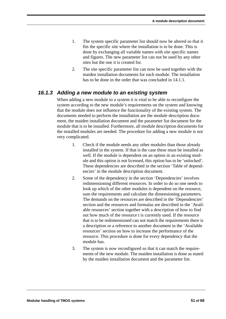- 1. The system specific parameter list should now be altered so that it fits the specific site where the installation is to be done. This is done by exchanging all variable names with site specific names and figures. The new parameter list can not be used by any other sites but the one it is created for.
- 2. The site specific parameter list can now be used together with the maiden installation documents for each module. The installation has to be done in the order that was concluded in 14.1.1.

#### *16.1.3 Adding a new module to an existing system*

When adding a new module to a system it is vital to be able to reconfigure the system according to the new module's requirements on the system and knowing that the module does not influence the functionality of the existing system. The documents needed to perform the installation are the module description document, the maiden installation document and the parameter list document for the module that is to be installed. Furthermore, all module description documents for the installed modules are needed. The procedure for adding a new module is not very complicated.

- 1. Check if the module needs any other modules than those already installed in the system. If that is the case these must be installed as well. If the module is dependent on an option in an existing module and this option is not licensed, this option has to be 'unlocked'. These dependencies are described in the section 'Table of dependencies' in the module description document.
- 2. Some of the dependency in the section 'Dependencies' involves redimensioning different resources. In order to do so one needs to look up which of the other modules is dependent on the resource, sum the requirements and calculate the dimensioning parameters. The demands on the resources are described in the 'Dependencies' section and the resources and formulas are described in the 'Available resources' section together with a description of how to find out how much of the resource t is currently used. If the resource that is to be redimensioned can not match the requirements there is a description or a reference to another document in the 'Available resources' section on how to increase the performance of the resource. This procedure is done for every dependency that the module has.
- 3. The system is now reconfigured so that it can match the requirements of the new module. The maiden installation is done as stated by the maiden installation document and the parameter list.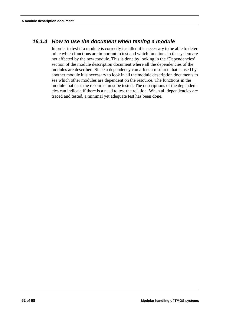#### *16.1.4 How to use the document when testing a module*

In order to test if a module is correctly installed it is necessary to be able to determine which functions are important to test and which functions in the system are not affected by the new module. This is done by looking in the 'Dependencies' section of the module description document where all the dependencies of the modules are described. Since a dependency can affect a resource that is used by another module it is necessary to look in all the module description documents to see which other modules are dependent on the resource. The functions in the module that uses the resource must be tested. The descriptions of the dependencies can indicate if there is a need to test the relation. When all dependencies are traced and tested, a minimal yet adequate test has been done.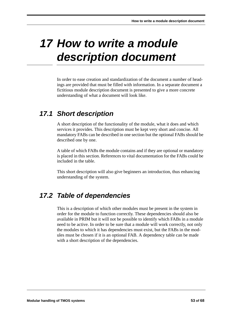# *17 How to write a module description document*

In order to ease creation and standardization of the document a number of headings are provided that must be filled with information. In a separate document a fictitious module description document is presented to give a more concrete understanding of what a document will look like.

# *17.1 Short description*

A short description of the functionality of the module, what it does and which services it provides. This description must be kept very short and concise. All mandatory FABs can be described in one section but the optional FABs should be described one by one.

A table of which FABs the module contains and if they are optional or mandatory is placed in this section. References to vital documentation for the FABs could be included in the table.

This short description will also give beginners an introduction, thus enhancing understanding of the system.

# *17.2 Table of dependencies*

This is a description of which other modules must be present in the system in order for the module to function correctly. These dependencies should also be available in PRIM but it will not be possible to identify which FABs in a module need to be active. In order to be sure that a module will work correctly, not only the modules to which it has dependencies must exist, but the FABs in the modules must be chosen if it is an optional FAB. A dependency table can be made with a short description of the dependencies.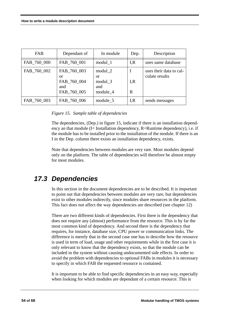| <b>FAB</b>  | Dependant of                                           | In module                                   | Dep.      | Description                               |
|-------------|--------------------------------------------------------|---------------------------------------------|-----------|-------------------------------------------|
| FAB_760_000 | FAB 760 001                                            | modul 1                                     | I, R      | uses same database                        |
| FAB_760_002 | FAB_760_003<br>or<br>FAB_760_004<br>and<br>FAB_760_005 | modul 2<br>or<br>modul 3<br>and<br>module 4 | I, R<br>R | uses their data to cal-<br>culate results |
| FAB_760_003 | FAB_760_006                                            | module 5                                    | I, R      | sends messages                            |

*Figure 15. Sample table of dependencies*

The dependencies, (Dep.) in figure 15, indicate if there is an installation dependency an that module (I= Installation dependency, R=Runtime dependency), i.e. if the module has to be installed prior to the installation of the module. If there is an I in the Dep. column there exists an installation dependency, exists.

Note that dependencies between modules are very rare. Most modules depend only on the platform. The table of dependencies will therefore be almost empty for most modules.

## *17.3 Dependencies*

In this section in the document dependencies are to be described. It is important to point out that dependencies between modules are very rare, but dependencies exist to other modules indirectly, since modules share resources in the platform. This fact does not affect the way dependencies are described (see chapter 12)

There are two different kinds of dependencies. First there is the dependency that does not require any (almost) performance from the resource. This is by far the most common kind of dependency. And second there is the dependency that requires, for instance, database size, CPU power or communication links. The difference is merely that in the second case one has to describe how the resource is used in term of load, usage and other requirements while in the first case it is only relevant to know that the dependency exists, so that the module can be included in the system without causing undocumented side effects. In order to avoid the problem with dependencies to optional FABs in modules it is necessary to specify in which FAB the requested resource is contained.

It is important to be able to find specific dependencies in an easy way, especially when looking for which modules are dependant of a certain resource. This is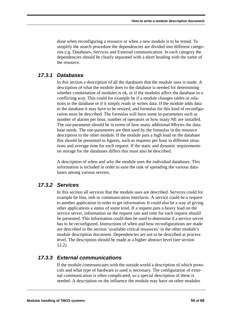done when reconfiguring a resource or when a new module is to be tested. To simplify the search procedure the dependencies are divided into different categories e.g. Databases, Services and External communication. In each category the dependencies should be clearly separated with a short heading with the name of the resource.

#### *17.3.1 Databases*

In this section a description of all the databases that the module uses is made. A description of what the module does to the database is needed for determining whether combination of modules is ok, or if the modules affect the database in a conflicting way. This could for example be if a module changes tables or relations in the database or if it simply reads or writes data. If the module adds data to the database it may have to be resized, and formulas for this kind of reconfiguration must be described. The formulas will have some in-parameters such as number of alarms per hour, number of operators or how many NE are installed. The out-parameter should be in terms of how many additional Mbytes the database needs. The out-parameters are then used by the formulas in the resource description to the other module. If the module puts a high load on the database this should be presented in figures, such as requests per hour in different situations and average time for each request. If the static and dynamic requirements on storage for the databases differs this must also be described.

A description of when and why the module uses the individual databases. This information is included in order to ease the task of spreading the various databases among various servers.

#### *17.3.2 Services*

In this section all services that the module uses are described. Services could for example be fma, imh or communication interfaces. A service could be a request to another application in order to get information. It could also be a way of giving other applications a status of some kind. If a request puts a heavy load on the service server, information on the request rate and time for each request should be presented. This information could then be used to determine if a service server has to be reconfigured. Instructions of when and how reconfigurations are made are described in the section 'available critical resources' in the other module's module description document. Dependencies are not to be described at process level. The description should be made at a higher abstract level (see section 12.2).

#### *17.3.3 External communications*

If the module communicates with the outside world a description of which protocols and what type of hardware is used is necessary. The configuration of external communication is often complicated, so a special description of these is needed. A description on the influence the module may have on other modules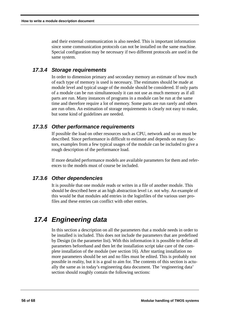and their external communication is also needed. This is important information since some communication protocols can not be installed on the same machine. Special configuration may be necessary if two different protocols are used in the same system.

#### *17.3.4 Storage requirements*

In order to dimension primary and secondary memory an estimate of how much of each type of memory is used is necessary. The estimates should be made at module level and typical usage of the module should be considered. If only parts of a module can be run simultaneously it can not use as much memory as if all parts are run. Many instances of programs in a module can be run at the same time and therefore require a lot of memory. Some parts are run rarely and others are run often. An estimation of storage requirements is clearly not easy to make, but some kind of guidelines are needed.

#### *17.3.5 Other performance requirements*

If possible the load on other resources such as CPU, network and so on must be described. Since performance is difficult to estimate and depends on many factors, examples from a few typical usages of the module can be included to give a rough description of the performance load.

If more detailed performance models are available parameters for them and references to the models must of course be included.

#### *17.3.6 Other dependencies*

It is possible that one module reads or writes in a file of another module. This should be described here at an high abstraction level i.e. not why. An example of this would be that modules add entries in the loginfiles of the various user profiles and these entries can conflict with other entries.

# *17.4 Engineering data*

In this section a description on all the parameters that a module needs in order to be installed is included. This does not include the parameters that are predefined by Design (in the parameter list). With this information it is possible to define all parameters beforehand and then let the installation script take care of the complete installation of the module (see section 16). After starting installation no more parameters should be set and no files must be edited. This is probably not possible in reality, but it is a goal to aim for. The contents of this section is actually the same as in today's engineering data document. The 'engineering data' section should roughly contain the following sections: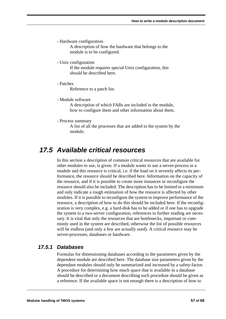- Hardware configuration

A description of how the hardware that belongs to the module is to be configured.

- Unix configuration

If the module requires special Unix configuration, this should be described here.

- Patches

Reference to a patch list.

- Module software

A description of which FABs are included in the module, how to configure them and other information about them.

- Process summary

A list of all the processes that are added to the system by the module.

### *17.5 Available critical resources*

In this section a description of common critical resources that are available for other modules to use, is given. If a module wants to use a server-process in a module and this resource is critical, i.e. if the load on it severely affects its performance, the resource should be described here. Information on the capacity of the resource, and if it is possible to create more instances or reconfigure the resource should also be included. The description has to be limited to a minimum and only indicate a rough estimation of how the resource is affected by other modules. If it is possible to reconfigure the system to improve performance of the resource, a description of how to do this should be included here. If the reconfiguration is very complex, e.g. a hard-disk has to be added or if one has to upgrade the system to a two-server configuration, references to further reading are necessary. It is vital that only the resources that are bottlenecks, important or commonly used in the system are described, otherwise the list of possible resources will be endless (and only a few are actually used). A critical resource may be server-processes, databases or hardware.

#### *17.5.1 Databases*

Formulas for dimensioning databases according to the parameters given by the dependent module are described here. The database size parameters given by the dependant modules should only be summarized and increased by a safety-factor. A procedure for determining how much space that is available in a database should be described or a document describing such procedure should be given as a reference. If the available space is not enough there is a description of how to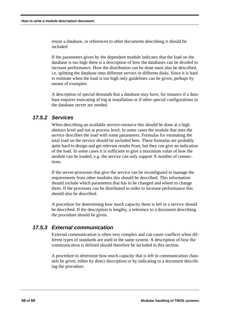resize a database, or references to other documents describing it should be included.

If the parameters given by the dependent module indicates that the load on the database is too high there is a description of how the databases can be divided to increase performance. How the distribution can be done must also be described, i.e. splitting the database onto different servers or different disks. Since it is hard to estimate when the load is too high only guidelines can be given, perhaps by means of examples.

A description of special demands that a database may have, for instance if a database requires truncating of log at installation or if other special configurations in the database server are needed.

#### *17.5.2 Services*

When describing an available service-resource this should be done at a high abstract level and not at process level. In some cases the module that uses the service describes the load with some parameters. Formulas for estimating the total load on the service should be included here. These formulas are probably quite hard to design and get relevant results from, but they can give an indication of the load. In some cases it is sufficient to give a maximum value of how the module can be loaded, e.g. the service can only support X number of connections.

If the server-processes that give the service can be reconfigured to manage the requirements from other modules this should be described. This information should include which parameters that has to be changed and where to change them. If the processes can be distributed in order to increase performance this should also be described.

A procedure for determining how much capacity there is left in a service should be described. If the description is lengthy, a reference to a document describing the procedure should be given.

#### *17.5.3 External communication*

External communication is often very complex and can cause conflicts when different types of standards are used in the same system. A description of how the communication is defined should therefore be included in this section.

A procedure to determine how much capacity that is left in communication channels be given, either by direct description or by indicating to a document describing the procedure.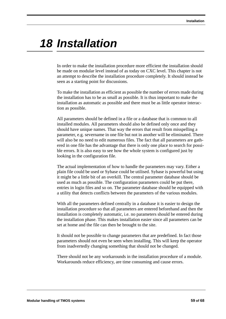# *18 Installation*

In order to make the installation procedure more efficient the installation should be made on modular level instead of as today on CXC level. This chapter is not an attempt to describe the installation procedure completely. It should instead be seen as a starting point for discussions.

To make the installation as efficient as possible the number of errors made during the installation has to be as small as possible. It is thus important to make the installation as automatic as possible and there must be as little operator interaction as possible.

All parameters should be defined in a file or a database that is common to all installed modules. All parameters should also be defined only once and they should have unique names. That way the errors that result from misspelling a parameter, e.g. severname in one file but not in another will be eliminated. There will also be no need to edit numerous files. The fact that all parameters are gathered in one file has the advantage that there is only one place to search for possible errors. It is also easy to see how the whole system is configured just by looking in the configuration file.

The actual implementation of how to handle the parameters may vary. Either a plain file could be used or Sybase could be utilised. Sybase is powerful but using it might be a little bit of an overkill. The central parameter database should be used as much as possible. The configuration parameters could be put there, entries in login files and so on. The parameter database should be equipped with a utility that detects conflicts between the parameters of the various modules.

With all the parameters defined centrally in a database it is easier to design the installation procedure so that all parameters are entered beforehand and then the installation is completely automatic, i.e. no parameters should be entered during the installation phase. This makes installation easier since all parameters can be set at home and the file can then be brought to the site.

It should not be possible to change parameters that are predefined. In fact those parameters should not even be seen when installing. This will keep the operator from inadvertedly changing something that should not be changed.

There should not be any workarounds in the installation procedure of a module. Workarounds reduce efficiency, are time consuming and cause errors.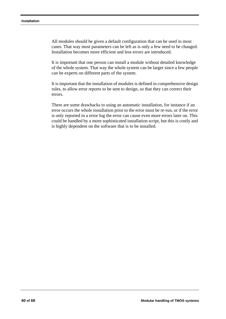All modules should be given a default configuration that can be used in most cases. That way most parameters can be left as is only a few need to be changed. Installation becomes more efficient and less errors are introduced.

It is important that one person can install a module without detailed knowledge of the whole system. That way the whole system can be larger since a few people can be experts on different parts of the system.

It is important that the installation of modules is defined in comprehensive design rules, to allow error reports to be sent to design, so that they can correct their errors.

There are some drawbacks to using an automatic installation, for instance if an error occurs the whole installation prior to the error must be re-run, or if the error is only reported in a error log the error can cause even more errors later on. This could be handled by a more sophisticated installation script, but this is costly and is highly dependent on the software that is to be installed.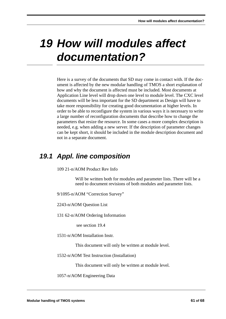# *19 How will modules affect documentation?*

Here is a survey of the documents that SD may come in contact with. If the document is affected by the new modular handling of TMOS a short explanation of how and why the document is affected must be included. Most documents at Application Line level will drop down one level to module level. The CXC level documents will be less important for the SD department as Design will have to take more responsibility for creating good documentation at higher levels. In order to be able to reconfigure the system in various ways it is necessary to write a large number of reconfiguration documents that describe how to change the parameters that resize the resource. In some cases a more complex description is needed, e.g. when adding a new server. If the description of parameter changes can be kept short, it should be included in the module description document and not in a separate document.

## *19.1 Appl. line composition*

109 21-n/AOM Product Rev Info

Will be written both for modules and parameter lists. There will be a need to document revisions of both modules and parameter lists.

9/1095-n/AOM "Correction Survey"

2243-n/AOM Question List

131 62-n/AOM Ordering Information

see section 19.4

1531-n/AOM Installation Instr.

This document will only be written at module level.

1532-n/AOM Test Instruction (Installation)

This document will only be written at module level.

1057-n/AOM Engineering Data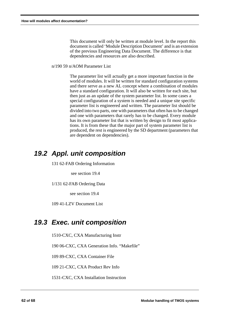This document will only be written at module level. In the report this document is called 'Module Description Document' and is an extension of the previous Engineering Data Document. The difference is that dependencies and resources are also described.

n/190 59 n/AOM Parameter List

The parameter list will actually get a more important function in the world of modules. It will be written for standard configuration systems and there serve as a new AL concept where a combination of modules have a standard configuration. It will also be written for each site, but then just as an update of the system parameter list. In some cases a special configuration of a system is needed and a unique site specific parameter list is engineered and written. The parameter list should be divided into two parts, one with parameters that often has to be changed and one with parameters that rarely has to be changed. Every module has its own parameter list that is written by design to fit most applications. It is from these that the major part of system parameter list is produced, the rest is engineered by the SD department (parameters that are dependent on dependencies).

## *19.2 Appl. unit composition*

131 62-FAB Ordering Information

see section 19.4

1/131 62-FAB Ordering Data

see section 19.4

109 41-LZV Document List

### *19.3 Exec. unit composition*

1510-CXC, CXA Manufacturing Instr

190 06-CXC, CXA Generation Info. "Makefile"

109 89-CXC, CXA Container File

109 21-CXC, CXA Product Rev Info

1531-CXC, CXA Installation Instruction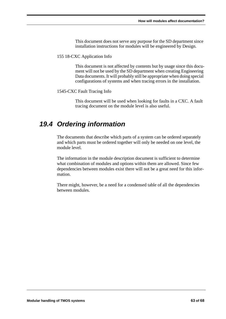This document does not serve any purpose for the SD department since installation instructions for modules will be engineered by Design.

#### 155 18-CXC Application Info

This document is not affected by contents but by usage since this document will not be used by the SD department when creating Engineering Data documents. It will probably still be appropriate when doing special configurations of systems and when tracing errors in the installation.

#### 1545-CXC Fault Tracing Info

This document will be used when looking for faults in a CXC. A fault tracing document on the module level is also useful.

## *19.4 Ordering information*

The documents that describe which parts of a system can be ordered separately and which parts must be ordered together will only be needed on one level, the module level.

The information in the module description document is sufficient to determine what combination of modules and options within them are allowed. Since few dependencies between modules exist there will not be a great need for this information.

There might, however, be a need for a condensed table of all the dependencies between modules.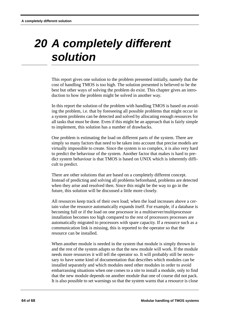# *20 A completely different solution*

This report gives one solution to the problem presented initially, namely that the cost of handling TMOS is too high. The solution presented is believed to be the best but other ways of solving the problem do exist. This chapter gives an introduction to how the problem might be solved in another way.

In this report the solution of the problem with handling TMOS is based on avoiding the problem, i.e. that by foreseeing all possible problems that might occur in a system problems can be detected and solved by allocating enough resources for all tasks that must be done. Even if this might be an approach that is fairly simple to implement, this solution has a number of drawbacks.

One problem is estimating the load on different parts of the system. There are simply so many factors that need to be taken into account that precise models are virtually impossible to create. Since the system is so complex, it is also very hard to predict the behaviour of the system. Another factor that makes is hard to predict system behaviour is that TMOS is based on UNIX which is inherently difficult to predict.

There are other solutions that are based on a completely different concept. Instead of predicting and solving all problems beforehand, problems are detected when they arise and resolved then. Since this might be the way to go in the future, this solution will be discussed a little more closely.

All resources keep track of their own load; when the load increases above a certain value the resource automatically expands itself. For example, if a database is becoming full or if the load on one processor in a multiserver/multiprocessor installation becomes too high compared to the rest of processors processes are automatically migrated to processors with spare capacity. If a resource such as a communication link is missing, this is reported to the operator so that the resource can be installed.

When another module is needed in the system that module is simply thrown in and the rest of the system adapts so that the new module will work. If the module needs more resources it will tell the operator so. It will probably still be necessary to have some kind of documentation that describes which modules can be installed separately and which modules need other modules in order to avoid embarrassing situations when one comes to a site to install a module, only to find that the new module depends on another module that one of course did not pack. It is also possible to set warnings so that the system warns that a resource is close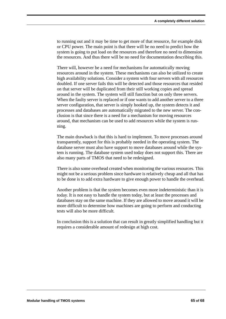to running out and it may be time to get more of that resource, for example disk or CPU power. The main point is that there will be no need to predict how the system is going to put load on the resources and therefore no need to dimension the resources. And thus there will be no need for documentation describing this.

There will, however be a need for mechanisms for automatically moving resources around in the system. These mechanisms can also be utilized to create high availability solutions. Consider a system with four servers with all resources doubled. If one server fails this will be detected and those resources that resided on that server will be duplicated from their still working copies and spread around in the system. The system will still function but on only three servers. When the faulty server is replaced or if one wants to add another server to a three server configuration, that server is simply hooked up, the system detects it and processes and databases are automatically migrated to the new server. The conclusion is that since there is a need for a mechanism for moving resources around, that mechanism can be used to add resources while the system is running.

The main drawback is that this is hard to implement. To move processes around transparently, support for this is probably needed in the operating system. The database server must also have support to move databases around while the system is running. The database system used today does not support this. There are also many parts of TMOS that need to be redesigned.

There is also some overhead created when monitoring the various resources. This might not be a serious problem since hardware is relatively cheap and all that has to be done is to add extra hardware to give enough power to handle the overhead.

Another problem is that the system becomes even more indeterministic than it is today. It is not easy to handle the system today, but at least the processes and databases stay on the same machine. If they are allowed to move around it will be more difficult to determine how machines are going to perform and conducting tests will also be more difficult.

In conclusion this is a solution that can result in greatly simplified handling but it requires a considerable amount of redesign at high cost.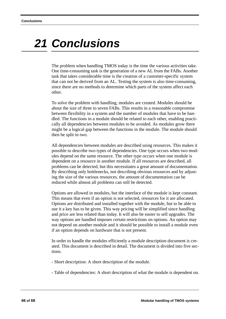# *21 Conclusions*

The problem when handling TMOS today is the time the various activities take. One time-consuming task is the generation of a new AL from the FABs. Another task that takes considerable time is the creation of a customer-specific system that can not be derived from an AL. Testing the system is also time-consuming, since there are no methods to determine which parts of the system affect each other.

To solve the problem with handling, modules are created. Modules should be about the size of three to seven FABs. This results in a reasonable compromise between flexibility in a system and the number of modules that have to be handled. The functions in a module should be related to each other, enabling practically all dependencies between modules to be avoided. As modules grow there might be a logical gap between the functions in the module. The module should then be split in two.

All dependencies between modules are described using resources. This makes it possible to describe two types of dependencies. One type occurs when two modules depend on the same resource. The other type occurs when one module is dependent on a resource in another module. If all resources are described, all problems can be detected, but this necessitates a great amount of documentation. By describing only bottlenecks, not describing obvious resources and by adjusting the size of the various resources, the amount of documentation can be reduced while almost all problems can still be detected.

Options are allowed in modules, but the interface of the module is kept constant. This means that even if an option is not selected, resources for it are allocated. Options are distributed and installed together with the module, but to be able to use it a key has to be given. This way pricing will be simplified since handling and price are less related than today. It will also be easier to sell upgrades. The way options are handled imposes certain restrictions on options. An option may not depend on another module and it should be possible to install a module even if an option depends on hardware that is not present.

In order to handle the modules efficiently a module description document is created. This document is described in detail. The document is divided into five sections.

- Short description: A short description of the module.
- Table of dependencies: A short description of what the module is dependent on.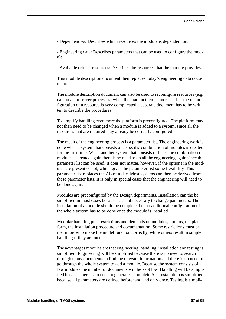- Dependencies: Describes which resources the module is dependent on.

- Engineering data: Describes parameters that can be used to configure the module.

- Available critical resources: Describes the resources that the module provides.

This module description document then replaces today's engineering data document.

The module description document can also be used to reconfigure resources (e.g. databases or server processes) when the load on them is increased. If the reconfiguration of a resource is very complicated a separate document has to be written to describe the procedures.

To simplify handling even more the platform is preconfigured. The platform may not then need to be changed when a module is added to a system, since all the resources that are required may already be correctly configured.

The result of the engineering process is a parameter list. The engineering work is done when a system that consists of a specific combination of modules is created for the first time. When another system that consists of the same combination of modules is created again there is no need to do all the engineering again since the parameter list can be used. It does not matter, however, if the options in the modules are present or not, which gives the parameter list some flexibility. This parameter list replaces the AL of today. Most systems can then be derived from these parameter lists. It is only in special cases that the engineering will need to be done again.

Modules are preconfigured by the Design departments. Installation can the be simplified in most cases because it is not necessary to change parameters. The installation of a module should be complete, i.e. no additional configuration of the whole system has to be done once the module is installed.

Modular handling puts restrictions and demands on modules, options, the platform, the installation procedure and documentation. Some restrictions must be met in order to make the model function correctly, while others result in simpler handling if they are met.

The advantages modules are that engineering, handling, installation and testing is simplified. Engineering will be simplified because there is no need to search through many documents to find the relevant information and there is no need to go through the whole system to add a module. Because the system consists of a few modules the number of documents will be kept low. Handling will be simplified because there is no need to generate a complete AL. Installation is simplified because all parameters are defined beforehand and only once. Testing is simpli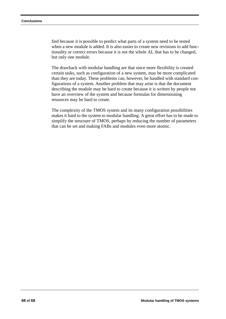fied because it is possible to predict what parts of a system need to be tested when a new module is added. It is also easier to create new revisions to add functionality or correct errors because it is not the whole AL that has to be changed, but only one module.

The drawback with modular handling are that since more flexibility is created certain tasks, such as configuration of a new system, may be more complicated than they are today. These problems can, however, be handled with standard configurations of a system. Another problem that may arise is that the document describing the module may be hard to create because it is written by people not have an overview of the system and because formulas for dimensioning resources may be hard to create.

The complexity of the TMOS system and its many configuration possibilities makes it hard to the system to modular handling. A great effort has to be made to simplify the structure of TMOS, perhaps by reducing the number of parameters that can be set and making FABs and modules even more atomic.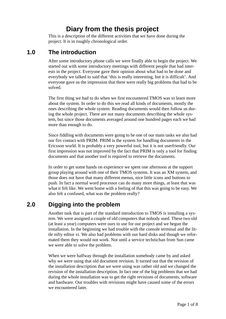# **Diary from the thesis project**

This is a description of the different activities that we have done during the project. It is in roughly chronological order.

### **1.0 The introduction**

After some introductory phone calls we were finally able to begin the project. We started out with some introductory meetings with different people that had interests in the project. Everyone gave their opinion about what had to be done and everybody we talked to said that 'this is really interesting, but it is difficult'. And everyone gave us the impression that there were really big problems that had to be solved.

The first thing we had to do when we first encountered TMOS was to learn more about the system. In order to do this we read all kinds of documents, mostly the ones describing the whole system. Reading documents would then follow us during the whole project. There are not many documents describing the whole system, but since those documents averaged around one hundred pages each we had more than enough to do.

Since fiddling with documents were going to be one of our main tasks we also had our firs contact with PRIM. PRIM is the system for handling documents in the Ericsson world. It is probably a very powerful tool, but it is not userfriendly. Our first impression was not improved by the fact that PRIM is only a tool for finding documents and that another tool is required to retrieve the documents.

In order to get some hands on experience we spent one afternoon at the support group playing around with one of their TMOS systems. It was an XM system, and those does not have that many different menus, nice little icons and buttons to push. In fact a normal word processor can do many more things, at least that was what it felt like. We went home with a feeling of that this was going to be easy. We also felt a confused, what was the problem really?

### **2.0 Digging into the problem**

Another task that is part of the standard introduction to TMOS is installing a system. We were assigned a couple of old computers that nobody used. These two old (at least a year) computers were ours to use for our project and we begun the installation. In the beginning we had trouble with the console terminal and the little nifty editor vi. We also had problems with our hard disks and though we reformated them they would not work. Not until a service technichan from Sun came we were able to solve the problem.

When we were halfway through the installation somebody came by and asked why we were using that old document revision. It turned out that the revision of the installation description that we were using was rather old and we changed the revision of the installation description. In fact one of the big problems that we had during the whole installation was to get the right revisions of documents, software and hardware. Our troubles with revisions might have caused some of the errors we encountered later.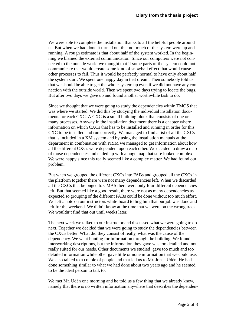We were able to complete the installation thanks to all the helpful people around us. But when we had done it turned out that not much of the system were up and running. A rough estimate is that about half of the system worked. In the beginning we blamed the external communication. Since our computers were not connected to the outside world we thought that if some parts of the system could not communicate that would create some kind of snowball effect that would cause other processes to fail. Thus it would be perfectly normal to have only about half the system start. We spent one happy day in that dream. Then somebody told us that we should be able to get the whole system up even if we did not have any connection with the outside world. Then we spent two days trying to locate the bugs. But after two days we gave up and found another worthwhile task to do.

Since we thought that we were going to study the dependencies within TMOS that was where we started. We did this by studying the individual installation documents for each CXC. A CXC is a small building block that consists of one or many processes. Anyway in the installation document there is a chapter where information on which CXCs that has to be installed and running in order for this CXC to be installed and run correctly. We managed to find a list of all the CXCs that is included in a XM system and by using the installation manuals at the department in combination with PRIM we managed to get information about how all the different CXCs were dependent upon each other. We decided to draw a map of those dependencies and ended up with a huge map that sure looked complex. We were happy since this really seemed like a complex matter. We had found our problem.

But when we grouped the different CXCs into FABs and grouped all the CXCs in the platform together there were not many dependencies left. When we discarded all the CXCs that belonged to CMAS there were only four different dependencies left. But that seemed like a good result, there were not as many dependencies as expected so grouping of the different FABs could be done without too much effort. We left a note on our instructors white-board telling him that our job was done and left for the weekend. We didn't know at the time that we were on the wrong track. We wouldn't find that out until weeks later.

The next week we talked to our instructor and discussed what we were going to do next. Together we decided that we were going to study the dependencies between the CXCs better. What did they consist of really, what was the cause of the dependency. We went hunting for information through the building. We found interworking descriptions, but the information they gave was too detailed and not really suited for our needs. Other documents we studied gave too much and too detailed information while other gave little or none information that we could use. We also talked to a couple of people and that led us to Mr. Jonas Udén. He had done something similar to what we had done about two years ago and he seemed to be the ideal person to talk to.

We met Mr. Udén one morning and he told us a few thing that we already knew, namely that there is no written information anywhere that describes the dependen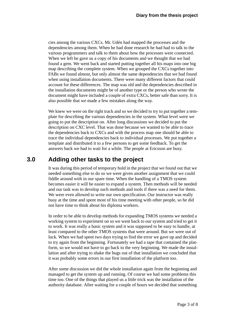cies among the various CXCs. Mr. Udén had mapped the processes and the dependencies among them. When he had done research he had had to talk to the various programmers and talk to them about how the processes were connected. When we left he gave us a copy of his documents and we thought that we had found a gem. We went back and started putting together all his maps into one big map describing the complete system. When we grouped the CXCs together into FABs we found almost, but only almost the same dependencies that we had found when using installation documents. There were many different factors that could account for these differences. The map was old and the dependencies described in the installation documents might be of another type or the person who wrote the document might have included a couple of extra CXCs, better safe than sorry. It is also possible that we made a few mistakes along the way.

We knew we were on the right track and so we decided to try to put together a template for describing the various dependencies in the system. What level were we going to put the description on. After long discussions we decided to put the description on CXC level. That was done because we wanted to be able to trace the dependencies back to CXCs and with the process map one should be able to trace the individual dependencies back to individual processes. We put together a template and distributed it to a few persons to get some feedback. To get the answers back we had to wait for a while. The people at Ericsson are busy.

### **3.0 Adding other tasks to the project**

It was during this period of temporary hold in the project that we found out that we needed something else to do so we were given another assignment that we could fiddle around with in our spare time. When the handling of a TMOS system becomes easier it will be easier to expand a system. Then methods will be needed and our task was to develop such methods and tools if there was a need for them. We were even allowed to write our own specification. Our instructor was really busy at the time and spent most of his time meeting with other people, so he did not have time to think about his diploma workers.

In order to be able to develop methods for expanding TMOS systems we needed a working system to experiment on so we went back to our system and tried to get it to work. It was really a basic system and it was supposed to be easy to handle, at least compared to the other TMOS systems that were around. But we were out of luck. When we had spent two days trying to find the error we gave up and decided to try again from the beginning. Fortunately we had a tape that contained the platform, so we would not have to go back to the very beginning. We made the installation and after trying to shake the bugs out of that installation we concluded that it was probably some errors in our first installation of the platform too.

After some discussion we did the whole installation again from the beginning and managed to get the system up and running. Of course we had some problems this time too. One of the things that played us a little trick was the installation of the authority database. After waiting for a couple of hours we decided that something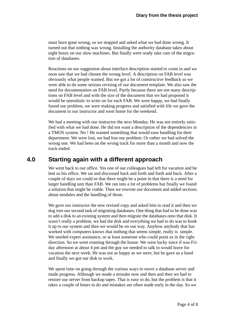must have gone wrong, so we stopped and asked what we had done wrong. It turned out that nothing was wrong. Installing the authority database takes about eight hours on our slow machines. But finally were ready take care of the migration of databases.

Reactions on our suggestion about interface description started to come in and we soon saw that we had chosen the wrong level. A description on FAB level was obviously what people wanted. But we got a lot of constructive feedback so we were able to do some serious revising of our document template. We also saw the need for documentation on FAB level. Partly because there are not many descriptions on FAB level and with the size of the document that we had proposed it would be unrealistic to write on for each FAB. We were happy, we had finally found our problem, we were making progress and satisfied with life we gave the document to our instructor and went home for the weekend.

We had a meeting with our instructor the next Monday. He was not entirely satisfied with what we had done. He did not want a description of the dependencies in a TMOS system. No ! He wanted something that would ease handling for their department. We were lost, we had lost our problem. Or rather we had solved the wrong one. We had been on the wrong track for more than a month and now the track ended.

#### **4.0 Starting again with a different approach**

We went back to our office. Yes one of our colleagues had left for vacation and he lent us his office. We sat and discussed back and forth and forth and back. After a couple of days we could se that there might be a point in that there is a need for larger handling unit than FAB. We ran into a lot of problems but finally we found a solution that might be viable. Then we rewrote our document and added sections about modules and the handling of those.

We gave our instructor the new revised copy and asked him to read it and then we dug into our second task of migrating databases. One thing that had to be done was to add a disk to an existing system and then migrate the databases onto that disk. It wasn't really a problem, we had the disk and everything we had to do was to hook it up to our system and then we would be on our way. Anyhow anybody that has worked with computers knows that nothing that seems simple, really is simple. We needed expert assistance, or at least someone who could point us in the right direction. So we went roaming through the house. We were lucky since if was Friday afternoon at about 4 pm and the guy we needed to talk to would leave for vacation the next week. He was not as happy as we were, but he gave us a hand and finally we got our disk to work.

We spent time on going through the various ways to move a database server and made progress. Although we made a mistake now and then and then we had to restore our server from backup tapes. That is easy to do, but the problem is that it takes a couple of hours to do and mistakes are often made early in the day. So we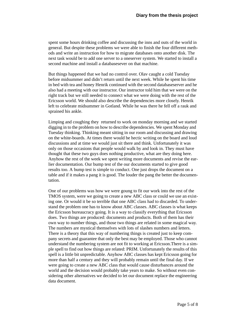spent some hours drinking coffee and discussing the inns and outs of the world in general. But despite these problems we were able to finish the four different methods and write an instruction for how to migrate databases onto another disk. The next task would be to add one server to a oneserver system. We started to install a second machine and install a databasesever on that machine.

But things happened that we had no control over. Olav caught a cold Tuesday before midsummer and didn't return until the next week. While he spent his time in bed with tea and honey Henrik continued with the second databaseserver and he also had a meeting with our instructor. Our instructor told him that we were on the right track but we still needed to connect what we were doing with the rest of the Ericsson world. We should also describe the dependencies more closely. Henrik left to celebrate midsummer in Gotland. While he was there he fell off a rauk and sprained his ankle.

Limping and coughing they returned to work on monday morning and we started digging in to the problem on how to describe dependencies. We spent Monday and Tuesday thinking. Thinking meant sitting in our room and discussing and drawing on the white-boards. At times there would be hectic writing on the board and loud discussions and at time we would just sit there and think. Unfortunately it was only on those occasions that people would walk by and look in. They must have thought that these two guys does nothing productive, what are they doing here. Anyhow the rest of the week we spent writing more documents and revise the earlier documentation. Our bump test of the our documents started to give good results too. A bump test is simple to conduct. One just drops the document on a table and if it makes a pang it is good. The louder the pang the better the documentation.

One of our problems was how we were goung to fit our work into the rest of the TMOS system, were we going to create a new ABC class or could we use an existing one. Or would it be so terrible that one ABC class had to discarded. To understand the problem one has to know about ABC classes. ABC classes is what keeps the Ericsson bureaucracy going. It is a way to classify everything that Ericsson does. Two things are produced: documents and products. Both of them has their own way to number things, and those two things are related in some magical way. The numbers are mystical themselves with lots of slashes numbers and letters. There is a theory that this way of numbering things is created just to keep company secrets and guarantee that only the best may be employed. Those who cannot understand the numbering system are not fit to working at Ericsson.There is a simple spell to find out how things are related: PRIM. Unfortunately the results of this spell is a little bit unpredictable. Anyhow ABC classes has kept Ericsson going for more than half a century and they will probably remain until the final day. If we were going to create a new ABC class that would cause disturbances around the world and the decision would probably take years to make. So without even considering other alternatives we decided to let our document replace the engineering data document.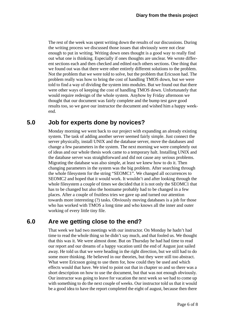The rest of the week was spent writing down the results of our discussions. During the writing process we discussed those issues that obviously were not clear enough to put in writing. Writing down ones thought is a good way to really find out what one is thinking. Especially if ones thoughts are unclear. We wrote different sections each and then checked and edited each others sections. One thing that we found out was that there were other entirely different solutions to the problem. Not the problem that we were told to solve, but the problem that Ericsson had. The problem really was how to bring the cost of handling TMOS down, but we were told to find a way of dividing the system into modules. But we found out that there were other ways of keeping the cost of handling TMOS down. Unfortunately that would require redesign of the whole system. Anyhow by Friday afternoon we thought that our document was fairly complete and the bump test gave good results too, so we gave our instructor the document and wished him a happy weekend.

# **5.0 Job for experts done by novices?**

Monday morning we went back to our project with expanding an already existing system. The task of adding another server seemed fairly simple. Just connect the server physically, install UNIX and the database server, move the databases and change a few parameters in the system. The next morning we were completely out of ideas and our whole thesis work came to a temporary halt. Installing UNIX and the database server was straightforward and did not cause any serious problems. Migrating the database was also simple, at least we knew how to do it. Then changing parameters in the system was the big problem. After searching through the whole filesystem for the string "SEOMC1". We changed all occurrences to SEOMC2 and hoped that it would work. It wouldn't and after looking through the whole filesystem a couple of times we decided that it is not only the SEOMC1 that has to be changed but also the hostname probably had to be changed in a few places. After a couple of fruitless tries we gave up and turned our attention towards more interesting (?) tasks. Obviously moving databases is a job for those who has worked with TMOS a long time and who knows all the inner and outer working of every little tiny file.

# **6.0 Are we getting close to the end?**

That week we had two meetings with our instructor. On Monday he hadn't had time to read the whole thing so he didn't say much, and that fooled us. We thought that this was it. We were almost done. But on Thursday he had had time to read our report and our dreams of a happy vacation until the end of August just sailed away. He told us that we were heading in the right direction, but we still had to do some more thinking. He believed in our theories, but they were still too abstract. What were Ericsson going to use them for, how could they be used and which effects would that have. We tried to point out that in chapter so and so there was a short description on how to use the document, but that was not enough obviously. Our instructor was going to leave for vacation the next week so we had to come up with something to do the next couple of weeks. Our instructor told us that it would be a good idea to have the report completed the eight of august, because then there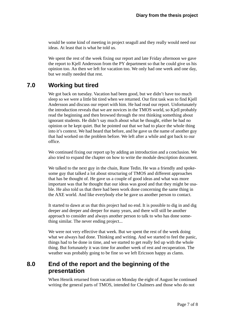would be some kind of meeting in project seagull and they really would need our ideas. At least that is what he told us.

We spent the rest of the week fixing our report and late Friday afternoon we gave the report to Kjell Andersson from the PY department so that he could give us his opinion too. An then we left for vacation too. We only had one week and one day, but we really needed that rest.

## **7.0 Working but tired**

We got back on tuesday. Vacation had been good, but we didn't have too much sleep so we were a little bit tired when we returned. Our first task was to find Kjell Andersson and discuss our report with him. He had read our report. Unfortunately the introduction reveals that we are novices in the TMOS world, so Kjell probably read the beginning and then browsed through the rest thinking something about ignorant students. He didn't say much about what he thought, either he had no opinion or he kept quiet. But he pointed out that we had to place the whole thing into it's context. We had heard that before, and he gave us the name of another guy that had worked on the problem before. We left after a while and got back to our office.

We continued fixing our report up by adding an introduction and a conclusion. We also tried to expand the chapter on how to write the module description document.

We talked to the next guy in the chain, Rune Tedin. He was a friendly and spokesome guy that talked a lot about structuring of TMOS and different approaches that has be thought of. He gave us a couple of good ideas and what was more important was that he thought that our ideas was good and that they might be usable. He also told us that there had been work done concerning the same thing in the AXE world. And like everybody else he gave us another person to contact.

It started to dawn at us that this project had no end. It is possible to dig in and dig deeper and deeper and deeper for many years, and there will still be another approach to consider and always another person to talk to who has done something similar. The never ending project...

We were not very effective that week. But we spent the rest of the week doing what we always had done. Thinking and writing. And we started to feel the panic, things had to be done in time, and we started to get really fed up with the whole thing. But fortunately it was time for another week of rest and recuperation. The weather was probably going to be fine so we left Ericsson happy as clams.

# **8.0 End of the report and the beginning of the presentation**

When Henrik returned from vacation on Monday the eight of August he continued writing the general parts of TMOS, intended for Chalmers and those who do not